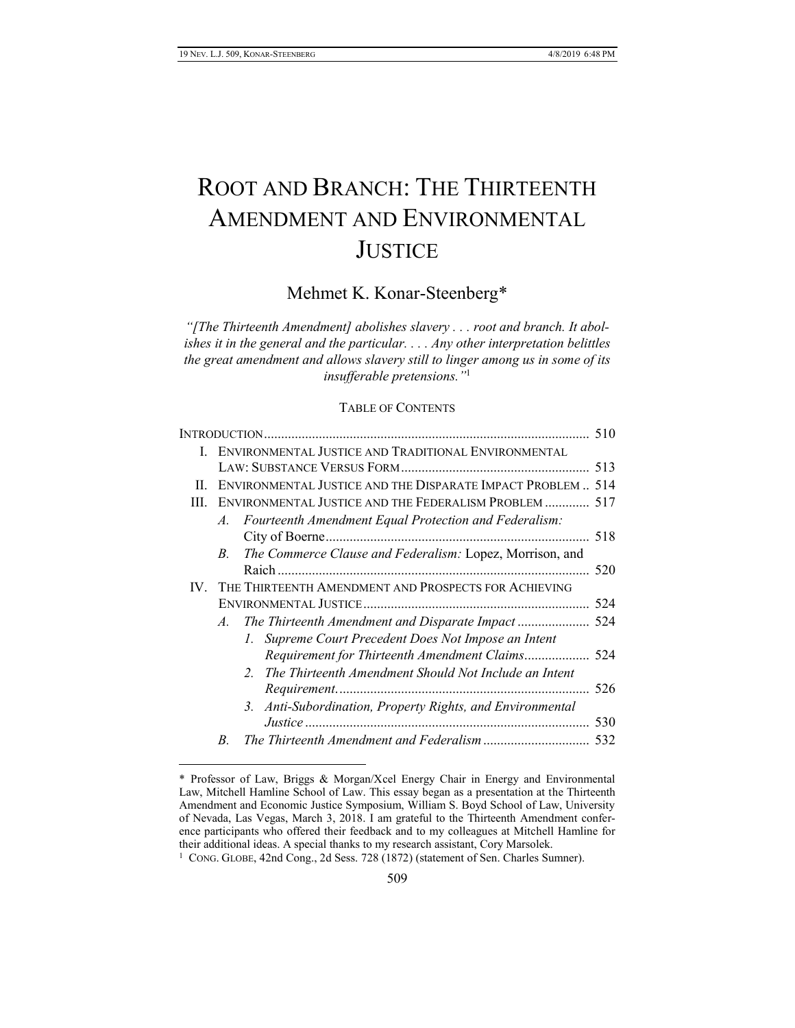$\overline{a}$ 

# ROOT AND BRANCH: THE THIRTEENTH AMENDMENT AND ENVIRONMENTAL **JUSTICE**

# Mehmet K. Konar-Steenberg\*

*"[The Thirteenth Amendment] abolishes slavery . . . root and branch. It abolishes it in the general and the particular. . . . Any other interpretation belittles the great amendment and allows slavery still to linger among us in some of its insufferable pretensions."*<sup>1</sup>

# TABLE OF CONTENTS

|      |                                                             |                                                                         | 510 |
|------|-------------------------------------------------------------|-------------------------------------------------------------------------|-----|
| Ι.   | ENVIRONMENTAL JUSTICE AND TRADITIONAL ENVIRONMENTAL         |                                                                         |     |
|      |                                                             |                                                                         |     |
| П.   | ENVIRONMENTAL JUSTICE AND THE DISPARATE IMPACT PROBLEM  514 |                                                                         |     |
| III. | ENVIRONMENTAL JUSTICE AND THE FEDERALISM PROBLEM  517       |                                                                         |     |
|      | A.                                                          | Fourteenth Amendment Equal Protection and Federalism:                   |     |
|      |                                                             |                                                                         |     |
|      | $B_{-}$                                                     | The Commerce Clause and Federalism: Lopez, Morrison, and                |     |
|      |                                                             |                                                                         | 520 |
| IV.  |                                                             | THE THIRTEENTH AMENDMENT AND PROSPECTS FOR ACHIEVING                    |     |
|      |                                                             |                                                                         |     |
|      | $A_{-}$                                                     |                                                                         |     |
|      |                                                             | 1. Supreme Court Precedent Does Not Impose an Intent                    |     |
|      |                                                             |                                                                         |     |
|      |                                                             | The Thirteenth Amendment Should Not Include an Intent<br>2 <sup>1</sup> |     |
|      |                                                             |                                                                         | 526 |
|      |                                                             | 3. Anti-Subordination, Property Rights, and Environmental               |     |
|      |                                                             |                                                                         | 530 |
|      | B.                                                          |                                                                         | 532 |
|      |                                                             |                                                                         |     |

<sup>\*</sup> Professor of Law, Briggs & Morgan/Xcel Energy Chair in Energy and Environmental Law, Mitchell Hamline School of Law. This essay began as a presentation at the Thirteenth Amendment and Economic Justice Symposium, William S. Boyd School of Law, University of Nevada, Las Vegas, March 3, 2018. I am grateful to the Thirteenth Amendment conference participants who offered their feedback and to my colleagues at Mitchell Hamline for their additional ideas. A special thanks to my research assistant, Cory Marsolek.

<sup>&</sup>lt;sup>1</sup> CONG. GLOBE, 42nd Cong., 2d Sess. 728 (1872) (statement of Sen. Charles Sumner).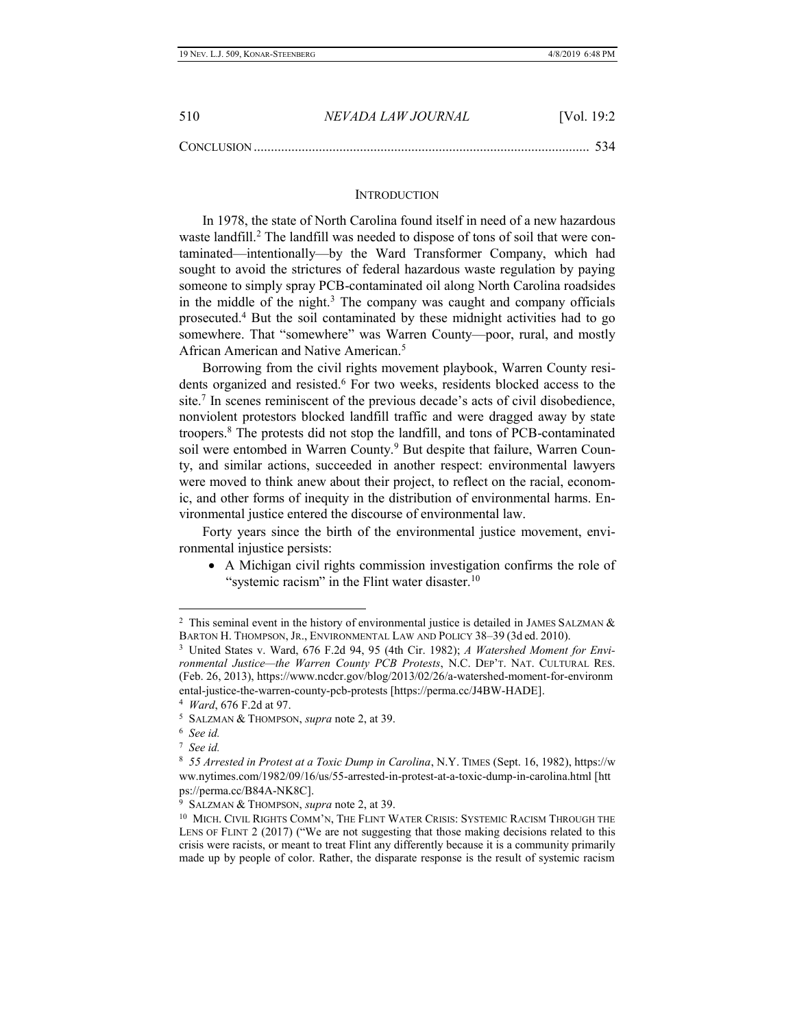| 510               | NEVADA LAW JOURNAL | [Vol. $19:2$ |
|-------------------|--------------------|--------------|
| <b>CONCLUSION</b> |                    |              |

#### **INTRODUCTION**

In 1978, the state of North Carolina found itself in need of a new hazardous waste landfill.<sup>2</sup> The landfill was needed to dispose of tons of soil that were contaminated—intentionally—by the Ward Transformer Company, which had sought to avoid the strictures of federal hazardous waste regulation by paying someone to simply spray PCB-contaminated oil along North Carolina roadsides in the middle of the night. <sup>3</sup> The company was caught and company officials prosecuted.<sup>4</sup> But the soil contaminated by these midnight activities had to go somewhere. That "somewhere" was Warren County—poor, rural, and mostly African American and Native American.<sup>5</sup>

Borrowing from the civil rights movement playbook, Warren County residents organized and resisted.<sup>6</sup> For two weeks, residents blocked access to the site.<sup>7</sup> In scenes reminiscent of the previous decade's acts of civil disobedience, nonviolent protestors blocked landfill traffic and were dragged away by state troopers.<sup>8</sup> The protests did not stop the landfill, and tons of PCB-contaminated soil were entombed in Warren County.<sup>9</sup> But despite that failure, Warren County, and similar actions, succeeded in another respect: environmental lawyers were moved to think anew about their project, to reflect on the racial, economic, and other forms of inequity in the distribution of environmental harms. Environmental justice entered the discourse of environmental law.

Forty years since the birth of the environmental justice movement, environmental injustice persists:

• A Michigan civil rights commission investigation confirms the role of "systemic racism" in the Flint water disaster.<sup>10</sup>

<sup>&</sup>lt;sup>2</sup> This seminal event in the history of environmental justice is detailed in JAMES SALZMAN  $\&$ BARTON H. THOMPSON, JR., ENVIRONMENTAL LAW AND POLICY 38–39 (3d ed. 2010).

<sup>3</sup> United States v. Ward, 676 F.2d 94, 95 (4th Cir. 1982); *A Watershed Moment for Environmental Justice—the Warren County PCB Protests*, N.C. DEP'T. NAT. CULTURAL RES. (Feb. 26, 2013), https://www.ncdcr.gov/blog/2013/02/26/a-watershed-moment-for-environm ental-justice-the-warren-county-pcb-protests [https://perma.cc/J4BW-HADE].

<sup>4</sup> *Ward*, 676 F.2d at 97.

<sup>5</sup> SALZMAN & THOMPSON, *supra* note 2, at 39.

<sup>6</sup> *See id.*

<sup>7</sup> *See id.*

<sup>8</sup> *55 Arrested in Protest at a Toxic Dump in Carolina*, N.Y. TIMES (Sept. 16, 1982), https://w ww.nytimes.com/1982/09/16/us/55-arrested-in-protest-at-a-toxic-dump-in-carolina.html [htt ps://perma.cc/B84A-NK8C].

<sup>9</sup> SALZMAN & THOMPSON, *supra* note 2, at 39.

<sup>&</sup>lt;sup>10</sup> MICH. CIVIL RIGHTS COMM'N, THE FLINT WATER CRISIS: SYSTEMIC RACISM THROUGH THE LENS OF FLINT 2 (2017) ("We are not suggesting that those making decisions related to this crisis were racists, or meant to treat Flint any differently because it is a community primarily made up by people of color. Rather, the disparate response is the result of systemic racism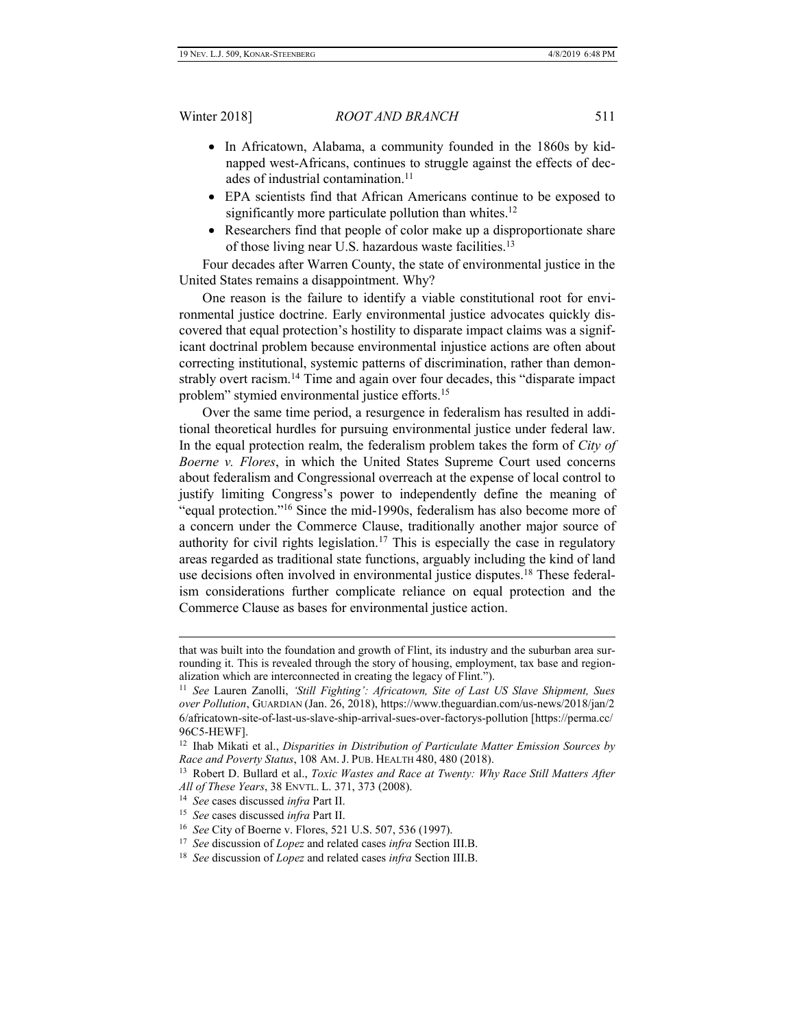- In Africatown, Alabama, a community founded in the 1860s by kidnapped west-Africans, continues to struggle against the effects of decades of industrial contamination.<sup>11</sup>
- EPA scientists find that African Americans continue to be exposed to significantly more particulate pollution than whites.<sup>12</sup>
- Researchers find that people of color make up a disproportionate share of those living near U.S. hazardous waste facilities.<sup>13</sup>

Four decades after Warren County, the state of environmental justice in the United States remains a disappointment. Why?

One reason is the failure to identify a viable constitutional root for environmental justice doctrine. Early environmental justice advocates quickly discovered that equal protection's hostility to disparate impact claims was a significant doctrinal problem because environmental injustice actions are often about correcting institutional, systemic patterns of discrimination, rather than demonstrably overt racism.<sup>14</sup> Time and again over four decades, this "disparate impact problem" stymied environmental justice efforts.<sup>15</sup>

Over the same time period, a resurgence in federalism has resulted in additional theoretical hurdles for pursuing environmental justice under federal law. In the equal protection realm, the federalism problem takes the form of *City of Boerne v. Flores*, in which the United States Supreme Court used concerns about federalism and Congressional overreach at the expense of local control to justify limiting Congress's power to independently define the meaning of "equal protection."<sup>16</sup> Since the mid-1990s, federalism has also become more of a concern under the Commerce Clause, traditionally another major source of authority for civil rights legislation.<sup>17</sup> This is especially the case in regulatory areas regarded as traditional state functions, arguably including the kind of land use decisions often involved in environmental justice disputes.<sup>18</sup> These federalism considerations further complicate reliance on equal protection and the Commerce Clause as bases for environmental justice action.

that was built into the foundation and growth of Flint, its industry and the suburban area surrounding it. This is revealed through the story of housing, employment, tax base and regionalization which are interconnected in creating the legacy of Flint.").

<sup>11</sup> *See* Lauren Zanolli, *'Still Fighting': Africatown, Site of Last US Slave Shipment, Sues over Pollution*, GUARDIAN (Jan. 26, 2018), https://www.theguardian.com/us-news/2018/jan/2 6/africatown-site-of-last-us-slave-ship-arrival-sues-over-factorys-pollution [https://perma.cc/ 96C5-HEWF].

<sup>12</sup> Ihab Mikati et al., *Disparities in Distribution of Particulate Matter Emission Sources by Race and Poverty Status*, 108 AM. J. PUB. HEALTH 480, 480 (2018).

<sup>&</sup>lt;sup>13</sup> Robert D. Bullard et al., *Toxic Wastes and Race at Twenty: Why Race Still Matters After All of These Years*, 38 ENVTL. L. 371, 373 (2008).

<sup>14</sup> *See* cases discussed *infra* Part II.

<sup>15</sup> *See* cases discussed *infra* Part II.

<sup>16</sup> *See* City of Boerne v. Flores, 521 U.S. 507, 536 (1997).

<sup>17</sup> *See* discussion of *Lopez* and related cases *infra* Section III.B.

<sup>18</sup> *See* discussion of *Lopez* and related cases *infra* Section III.B.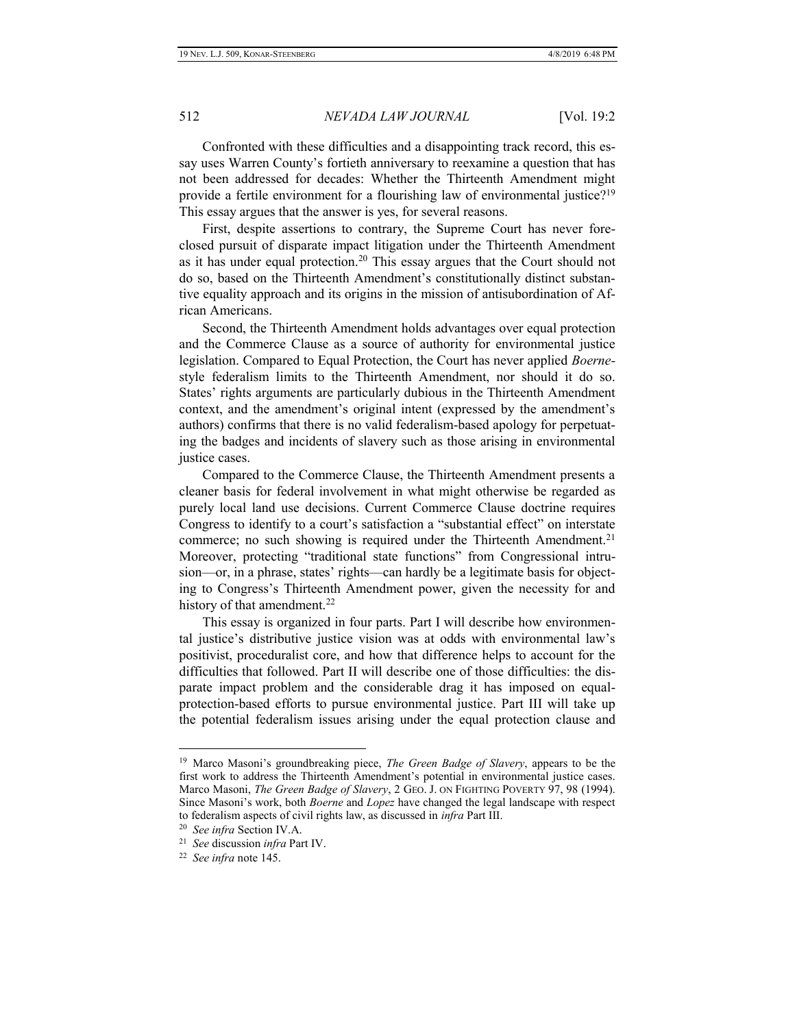Confronted with these difficulties and a disappointing track record, this essay uses Warren County's fortieth anniversary to reexamine a question that has not been addressed for decades: Whether the Thirteenth Amendment might provide a fertile environment for a flourishing law of environmental justice?<sup>19</sup> This essay argues that the answer is yes, for several reasons.

First, despite assertions to contrary, the Supreme Court has never foreclosed pursuit of disparate impact litigation under the Thirteenth Amendment as it has under equal protection.<sup>20</sup> This essay argues that the Court should not do so, based on the Thirteenth Amendment's constitutionally distinct substantive equality approach and its origins in the mission of antisubordination of African Americans.

Second, the Thirteenth Amendment holds advantages over equal protection and the Commerce Clause as a source of authority for environmental justice legislation. Compared to Equal Protection, the Court has never applied *Boerne*style federalism limits to the Thirteenth Amendment, nor should it do so. States' rights arguments are particularly dubious in the Thirteenth Amendment context, and the amendment's original intent (expressed by the amendment's authors) confirms that there is no valid federalism-based apology for perpetuating the badges and incidents of slavery such as those arising in environmental justice cases.

Compared to the Commerce Clause, the Thirteenth Amendment presents a cleaner basis for federal involvement in what might otherwise be regarded as purely local land use decisions. Current Commerce Clause doctrine requires Congress to identify to a court's satisfaction a "substantial effect" on interstate commerce; no such showing is required under the Thirteenth Amendment.<sup>21</sup> Moreover, protecting "traditional state functions" from Congressional intrusion—or, in a phrase, states' rights—can hardly be a legitimate basis for objecting to Congress's Thirteenth Amendment power, given the necessity for and history of that amendment.<sup>22</sup>

This essay is organized in four parts. Part I will describe how environmental justice's distributive justice vision was at odds with environmental law's positivist, proceduralist core, and how that difference helps to account for the difficulties that followed. Part II will describe one of those difficulties: the disparate impact problem and the considerable drag it has imposed on equalprotection-based efforts to pursue environmental justice. Part III will take up the potential federalism issues arising under the equal protection clause and

<sup>&</sup>lt;sup>19</sup> Marco Masoni's groundbreaking piece, *The Green Badge of Slavery*, appears to be the first work to address the Thirteenth Amendment's potential in environmental justice cases. Marco Masoni, *The Green Badge of Slavery*, 2 GEO. J. ON FIGHTING POVERTY 97, 98 (1994). Since Masoni's work, both *Boerne* and *Lopez* have changed the legal landscape with respect to federalism aspects of civil rights law, as discussed in *infra* Part III.

<sup>20</sup> *See infra* Section IV.A.

<sup>21</sup> *See* discussion *infra* Part IV.

<sup>22</sup> *See infra* note 145.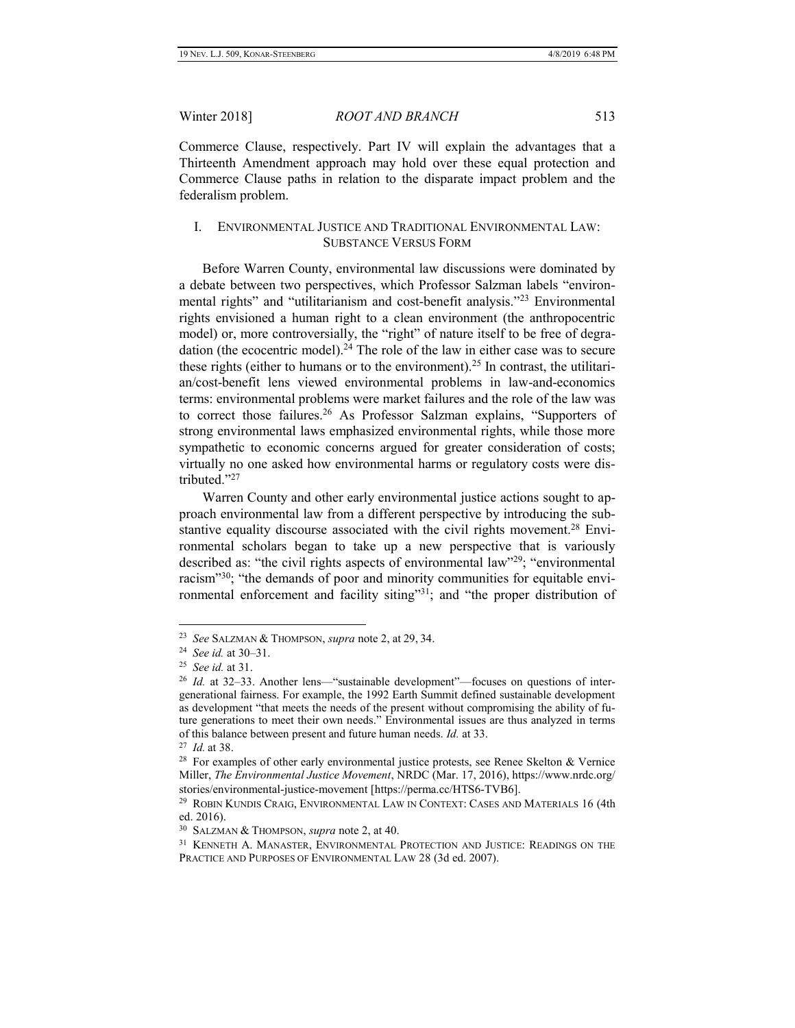Commerce Clause, respectively. Part IV will explain the advantages that a Thirteenth Amendment approach may hold over these equal protection and Commerce Clause paths in relation to the disparate impact problem and the federalism problem.

# I. ENVIRONMENTAL JUSTICE AND TRADITIONAL ENVIRONMENTAL LAW: SUBSTANCE VERSUS FORM

Before Warren County, environmental law discussions were dominated by a debate between two perspectives, which Professor Salzman labels "environmental rights" and "utilitarianism and cost-benefit analysis."<sup>23</sup> Environmental rights envisioned a human right to a clean environment (the anthropocentric model) or, more controversially, the "right" of nature itself to be free of degradation (the ecocentric model).<sup>24</sup> The role of the law in either case was to secure these rights (either to humans or to the environment).<sup>25</sup> In contrast, the utilitarian/cost-benefit lens viewed environmental problems in law-and-economics terms: environmental problems were market failures and the role of the law was to correct those failures.<sup>26</sup> As Professor Salzman explains, "Supporters of strong environmental laws emphasized environmental rights, while those more sympathetic to economic concerns argued for greater consideration of costs; virtually no one asked how environmental harms or regulatory costs were distributed."<sup>27</sup>

Warren County and other early environmental justice actions sought to approach environmental law from a different perspective by introducing the substantive equality discourse associated with the civil rights movement.<sup>28</sup> Environmental scholars began to take up a new perspective that is variously described as: "the civil rights aspects of environmental law"<sup>29</sup>; "environmental racism"<sup>30</sup>; "the demands of poor and minority communities for equitable environmental enforcement and facility siting"31; and "the proper distribution of

<sup>23</sup> *See* SALZMAN & THOMPSON, *supra* note 2, at 29, 34.

<sup>24</sup> *See id.* at 30–31.

<sup>25</sup> *See id.* at 31.

<sup>&</sup>lt;sup>26</sup> *Id.* at 32–33. Another lens—"sustainable development"—focuses on questions of intergenerational fairness. For example, the 1992 Earth Summit defined sustainable development as development "that meets the needs of the present without compromising the ability of future generations to meet their own needs." Environmental issues are thus analyzed in terms of this balance between present and future human needs. *Id.* at 33.

<sup>27</sup> *Id.* at 38.

 $28$  For examples of other early environmental justice protests, see Renee Skelton & Vernice Miller, *The Environmental Justice Movement*, NRDC (Mar. 17, 2016), https://www.nrdc.org/ stories/environmental-justice-movement [https://perma.cc/HTS6-TVB6].

<sup>&</sup>lt;sup>29</sup> ROBIN KUNDIS CRAIG, ENVIRONMENTAL LAW IN CONTEXT: CASES AND MATERIALS 16 (4th ed. 2016).

<sup>30</sup> SALZMAN & THOMPSON, *supra* note 2, at 40.

<sup>&</sup>lt;sup>31</sup> KENNETH A. MANASTER, ENVIRONMENTAL PROTECTION AND JUSTICE: READINGS ON THE PRACTICE AND PURPOSES OF ENVIRONMENTAL LAW 28 (3d ed. 2007).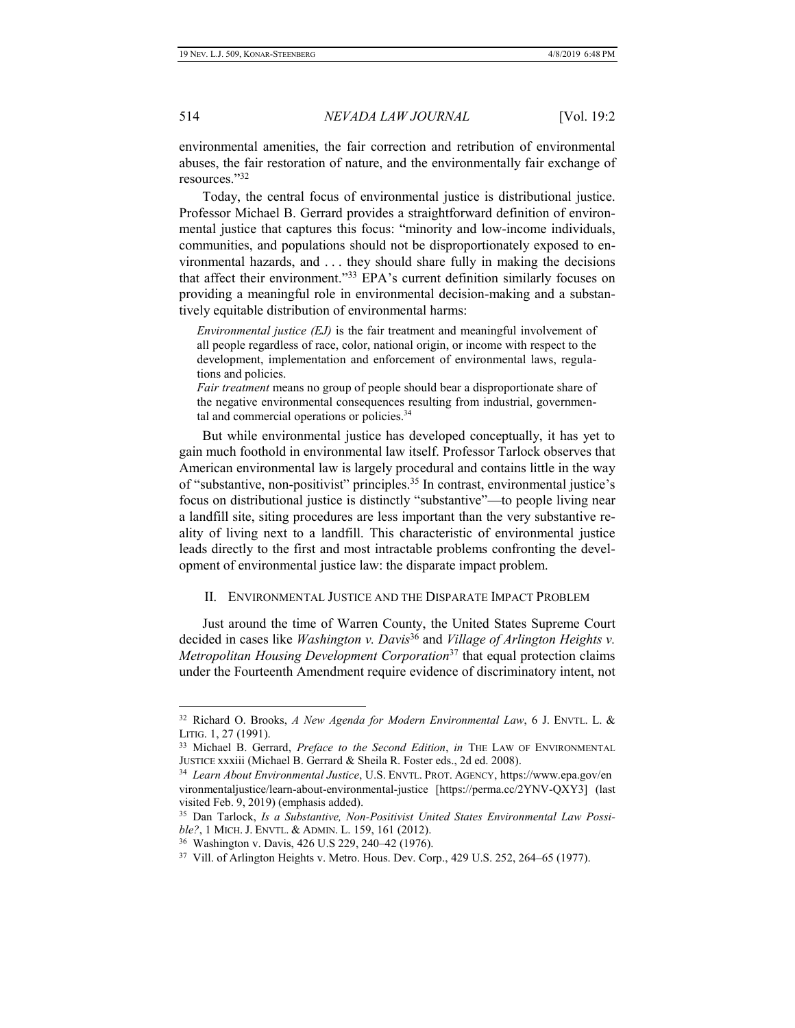environmental amenities, the fair correction and retribution of environmental abuses, the fair restoration of nature, and the environmentally fair exchange of resources."<sup>32</sup>

Today, the central focus of environmental justice is distributional justice. Professor Michael B. Gerrard provides a straightforward definition of environmental justice that captures this focus: "minority and low-income individuals, communities, and populations should not be disproportionately exposed to environmental hazards, and . . . they should share fully in making the decisions that affect their environment."<sup>33</sup> EPA's current definition similarly focuses on providing a meaningful role in environmental decision-making and a substantively equitable distribution of environmental harms:

*Environmental justice (EJ)* is the fair treatment and meaningful involvement of all people regardless of race, color, national origin, or income with respect to the development, implementation and enforcement of environmental laws, regulations and policies.

*Fair treatment* means no group of people should bear a disproportionate share of the negative environmental consequences resulting from industrial, governmental and commercial operations or policies.<sup>34</sup>

But while environmental justice has developed conceptually, it has yet to gain much foothold in environmental law itself. Professor Tarlock observes that American environmental law is largely procedural and contains little in the way of "substantive, non-positivist" principles.<sup>35</sup> In contrast, environmental justice's focus on distributional justice is distinctly "substantive"—to people living near a landfill site, siting procedures are less important than the very substantive reality of living next to a landfill. This characteristic of environmental justice leads directly to the first and most intractable problems confronting the development of environmental justice law: the disparate impact problem.

### II. ENVIRONMENTAL JUSTICE AND THE DISPARATE IMPACT PROBLEM

Just around the time of Warren County, the United States Supreme Court decided in cases like *Washington v. Davis*<sup>36</sup> and *Village of Arlington Heights v. Metropolitan Housing Development Corporation*<sup>37</sup> that equal protection claims under the Fourteenth Amendment require evidence of discriminatory intent, not

<sup>32</sup> Richard O. Brooks, *A New Agenda for Modern Environmental Law*, 6 J. ENVTL. L. & LITIG. 1, 27 (1991).

<sup>33</sup> Michael B. Gerrard, *Preface to the Second Edition*, *in* THE LAW OF ENVIRONMENTAL JUSTICE xxxiii (Michael B. Gerrard & Sheila R. Foster eds., 2d ed. 2008).

<sup>34</sup> *Learn About Environmental Justice*, U.S. ENVTL. PROT. AGENCY, https://www.epa.gov/en vironmentaljustice/learn-about-environmental-justice [https://perma.cc/2YNV-QXY3] (last visited Feb. 9, 2019) (emphasis added).

<sup>35</sup> Dan Tarlock, *Is a Substantive, Non-Positivist United States Environmental Law Possible?*, 1 MICH. J. ENVTL. & ADMIN. L. 159, 161 (2012).

<sup>36</sup> Washington v. Davis, 426 U.S 229, 240–42 (1976).

<sup>&</sup>lt;sup>37</sup> Vill. of Arlington Heights v. Metro. Hous. Dev. Corp., 429 U.S. 252, 264–65 (1977).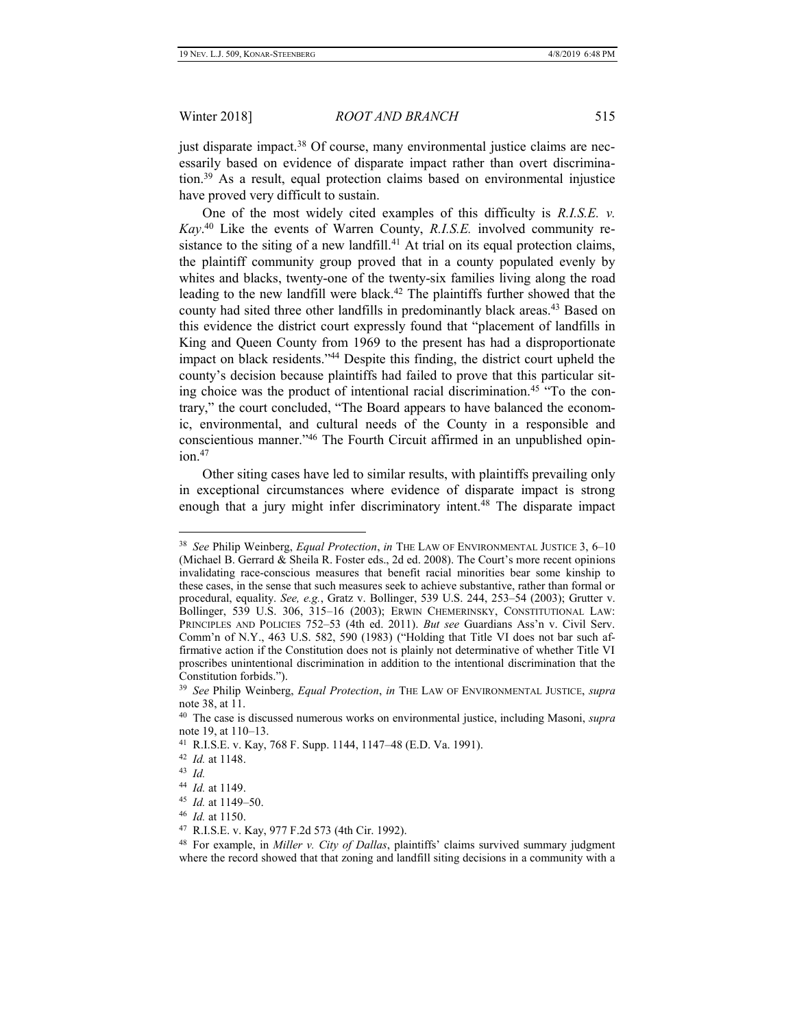just disparate impact.<sup>38</sup> Of course, many environmental justice claims are necessarily based on evidence of disparate impact rather than overt discrimination.<sup>39</sup> As a result, equal protection claims based on environmental injustice have proved very difficult to sustain.

One of the most widely cited examples of this difficulty is *R.I.S.E. v. Kay*. <sup>40</sup> Like the events of Warren County, *R.I.S.E.* involved community resistance to the siting of a new landfill.<sup>41</sup> At trial on its equal protection claims, the plaintiff community group proved that in a county populated evenly by whites and blacks, twenty-one of the twenty-six families living along the road leading to the new landfill were black.<sup>42</sup> The plaintiffs further showed that the county had sited three other landfills in predominantly black areas.<sup>43</sup> Based on this evidence the district court expressly found that "placement of landfills in King and Queen County from 1969 to the present has had a disproportionate impact on black residents."<sup>44</sup> Despite this finding, the district court upheld the county's decision because plaintiffs had failed to prove that this particular siting choice was the product of intentional racial discrimination.<sup>45</sup> "To the contrary," the court concluded, "The Board appears to have balanced the economic, environmental, and cultural needs of the County in a responsible and conscientious manner."<sup>46</sup> The Fourth Circuit affirmed in an unpublished opin $ion.<sup>47</sup>$ 

Other siting cases have led to similar results, with plaintiffs prevailing only in exceptional circumstances where evidence of disparate impact is strong enough that a jury might infer discriminatory intent.<sup>48</sup> The disparate impact

<sup>38</sup> *See* Philip Weinberg, *Equal Protection*, *in* THE LAW OF ENVIRONMENTAL JUSTICE 3, 6–10 (Michael B. Gerrard & Sheila R. Foster eds., 2d ed. 2008). The Court's more recent opinions invalidating race-conscious measures that benefit racial minorities bear some kinship to these cases, in the sense that such measures seek to achieve substantive, rather than formal or procedural, equality. *See, e.g.*, Gratz v. Bollinger, 539 U.S. 244, 253–54 (2003); Grutter v. Bollinger, 539 U.S. 306, 315–16 (2003); ERWIN CHEMERINSKY, CONSTITUTIONAL LAW: PRINCIPLES AND POLICIES 752–53 (4th ed. 2011). *But see* Guardians Ass'n v. Civil Serv. Comm'n of N.Y., 463 U.S. 582, 590 (1983) ("Holding that Title VI does not bar such affirmative action if the Constitution does not is plainly not determinative of whether Title VI proscribes unintentional discrimination in addition to the intentional discrimination that the Constitution forbids.").

<sup>39</sup> *See* Philip Weinberg, *Equal Protection*, *in* THE LAW OF ENVIRONMENTAL JUSTICE, *supra* note 38, at 11.

<sup>40</sup> The case is discussed numerous works on environmental justice, including Masoni, *supra*  note 19, at 110–13.

<sup>41</sup> R.I.S.E. v. Kay, 768 F. Supp. 1144, 1147–48 (E.D. Va. 1991).

<sup>42</sup> *Id.* at 1148.

<sup>43</sup> *Id.*

<sup>44</sup> *Id.* at 1149.

<sup>45</sup> *Id.* at 1149–50.

<sup>46</sup> *Id.* at 1150.

<sup>47</sup> R.I.S.E. v. Kay, 977 F.2d 573 (4th Cir. 1992).

<sup>48</sup> For example, in *Miller v. City of Dallas*, plaintiffs' claims survived summary judgment where the record showed that that zoning and landfill siting decisions in a community with a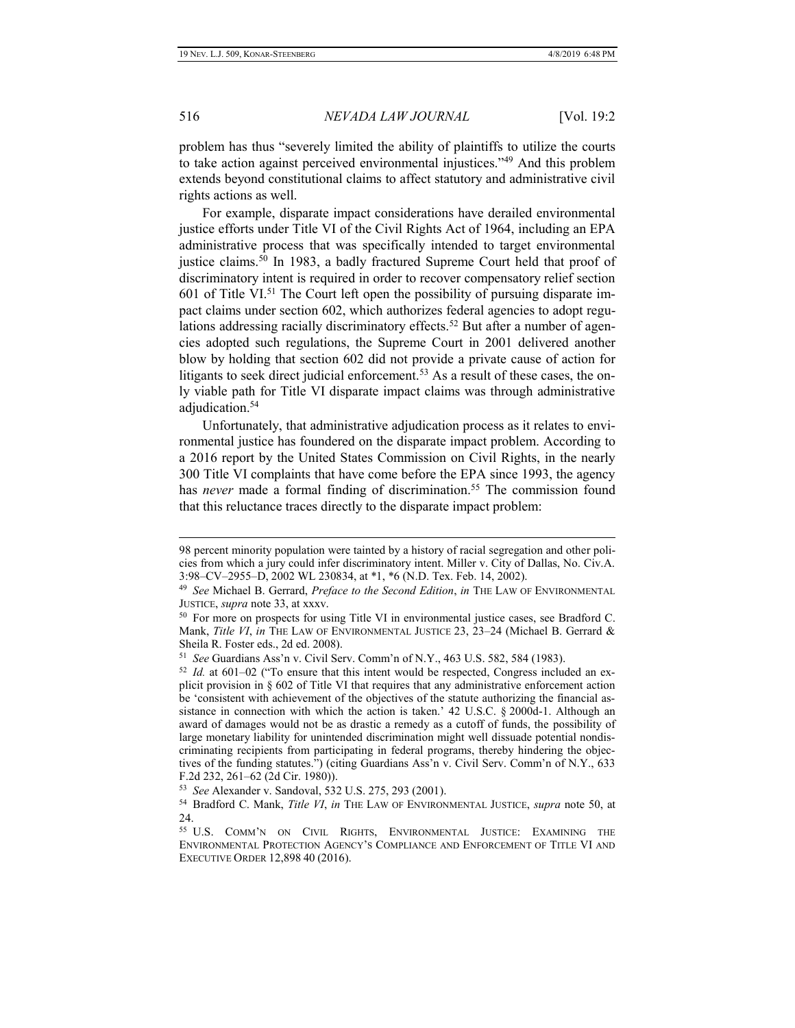$\overline{a}$ 

516 *NEVADA LAW JOURNAL* [Vol. 19:2

problem has thus "severely limited the ability of plaintiffs to utilize the courts to take action against perceived environmental injustices."<sup>49</sup> And this problem extends beyond constitutional claims to affect statutory and administrative civil rights actions as well.

For example, disparate impact considerations have derailed environmental justice efforts under Title VI of the Civil Rights Act of 1964, including an EPA administrative process that was specifically intended to target environmental justice claims.<sup>50</sup> In 1983, a badly fractured Supreme Court held that proof of discriminatory intent is required in order to recover compensatory relief section 601 of Title VI.<sup>51</sup> The Court left open the possibility of pursuing disparate impact claims under section 602, which authorizes federal agencies to adopt regulations addressing racially discriminatory effects.<sup>52</sup> But after a number of agencies adopted such regulations, the Supreme Court in 2001 delivered another blow by holding that section 602 did not provide a private cause of action for litigants to seek direct judicial enforcement.<sup>53</sup> As a result of these cases, the only viable path for Title VI disparate impact claims was through administrative adjudication.<sup>54</sup>

Unfortunately, that administrative adjudication process as it relates to environmental justice has foundered on the disparate impact problem. According to a 2016 report by the United States Commission on Civil Rights, in the nearly 300 Title VI complaints that have come before the EPA since 1993, the agency has *never* made a formal finding of discrimination.<sup>55</sup> The commission found that this reluctance traces directly to the disparate impact problem:

<sup>98</sup> percent minority population were tainted by a history of racial segregation and other policies from which a jury could infer discriminatory intent. Miller v. City of Dallas, No. Civ.A. 3:98–CV–2955–D, 2002 WL 230834, at \*1, \*6 (N.D. Tex. Feb. 14, 2002).

<sup>49</sup> *See* Michael B. Gerrard, *Preface to the Second Edition*, *in* THE LAW OF ENVIRONMENTAL JUSTICE, *supra* note 33, at xxxv.

<sup>&</sup>lt;sup>50</sup> For more on prospects for using Title VI in environmental justice cases, see Bradford C. Mank, *Title VI*, *in* THE LAW OF ENVIRONMENTAL JUSTICE 23, 23–24 (Michael B. Gerrard & Sheila R. Foster eds., 2d ed. 2008).

<sup>51</sup> *See* Guardians Ass'n v. Civil Serv. Comm'n of N.Y., 463 U.S. 582, 584 (1983).

<sup>52</sup> *Id.* at 601–02 ("To ensure that this intent would be respected, Congress included an explicit provision in § 602 of Title VI that requires that any administrative enforcement action be 'consistent with achievement of the objectives of the statute authorizing the financial assistance in connection with which the action is taken.' 42 U.S.C. § 2000d-1. Although an award of damages would not be as drastic a remedy as a cutoff of funds, the possibility of large monetary liability for unintended discrimination might well dissuade potential nondiscriminating recipients from participating in federal programs, thereby hindering the objectives of the funding statutes.") (citing Guardians Ass'n v. Civil Serv. Comm'n of N.Y., 633 F.2d 232, 261–62 (2d Cir. 1980)).

<sup>53</sup> *See* Alexander v. Sandoval, 532 U.S. 275, 293 (2001).

<sup>54</sup> Bradford C. Mank, *Title VI*, *in* THE LAW OF ENVIRONMENTAL JUSTICE, *supra* note 50, at 24.

<sup>55</sup> U.S. COMM'N ON CIVIL RIGHTS, ENVIRONMENTAL JUSTICE: EXAMINING THE ENVIRONMENTAL PROTECTION AGENCY'S COMPLIANCE AND ENFORCEMENT OF TITLE VI AND EXECUTIVE ORDER 12,898 40 (2016).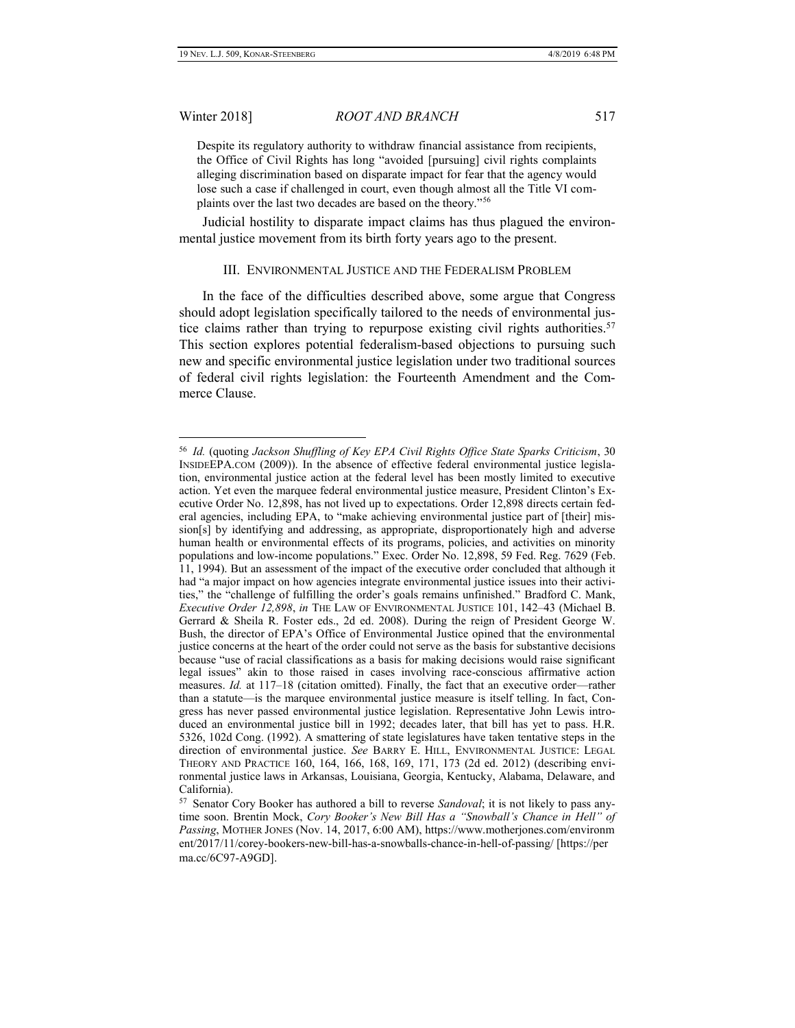$\overline{a}$ 

Winter 2018] *ROOT AND BRANCH* 517

Despite its regulatory authority to withdraw financial assistance from recipients, the Office of Civil Rights has long "avoided [pursuing] civil rights complaints alleging discrimination based on disparate impact for fear that the agency would lose such a case if challenged in court, even though almost all the Title VI complaints over the last two decades are based on the theory."<sup>56</sup>

Judicial hostility to disparate impact claims has thus plagued the environmental justice movement from its birth forty years ago to the present.

#### III. ENVIRONMENTAL JUSTICE AND THE FEDERALISM PROBLEM

In the face of the difficulties described above, some argue that Congress should adopt legislation specifically tailored to the needs of environmental justice claims rather than trying to repurpose existing civil rights authorities.<sup>57</sup> This section explores potential federalism-based objections to pursuing such new and specific environmental justice legislation under two traditional sources of federal civil rights legislation: the Fourteenth Amendment and the Commerce Clause.

<sup>56</sup> *Id.* (quoting *Jackson Shuffling of Key EPA Civil Rights Office State Sparks Criticism*, 30 INSIDEEPA.COM (2009)). In the absence of effective federal environmental justice legislation, environmental justice action at the federal level has been mostly limited to executive action. Yet even the marquee federal environmental justice measure, President Clinton's Executive Order No. 12,898, has not lived up to expectations. Order 12,898 directs certain federal agencies, including EPA, to "make achieving environmental justice part of [their] mission[s] by identifying and addressing, as appropriate, disproportionately high and adverse human health or environmental effects of its programs, policies, and activities on minority populations and low-income populations." Exec. Order No. 12,898, 59 Fed. Reg. 7629 (Feb. 11, 1994). But an assessment of the impact of the executive order concluded that although it had "a major impact on how agencies integrate environmental justice issues into their activities," the "challenge of fulfilling the order's goals remains unfinished." Bradford C. Mank, *Executive Order 12,898*, *in* THE LAW OF ENVIRONMENTAL JUSTICE 101, 142–43 (Michael B. Gerrard & Sheila R. Foster eds., 2d ed. 2008). During the reign of President George W. Bush, the director of EPA's Office of Environmental Justice opined that the environmental justice concerns at the heart of the order could not serve as the basis for substantive decisions because "use of racial classifications as a basis for making decisions would raise significant legal issues" akin to those raised in cases involving race-conscious affirmative action measures. *Id.* at 117–18 (citation omitted). Finally, the fact that an executive order—rather than a statute—is the marquee environmental justice measure is itself telling. In fact, Congress has never passed environmental justice legislation. Representative John Lewis introduced an environmental justice bill in 1992; decades later, that bill has yet to pass. H.R. 5326, 102d Cong. (1992). A smattering of state legislatures have taken tentative steps in the direction of environmental justice. *See* BARRY E. HILL, ENVIRONMENTAL JUSTICE: LEGAL THEORY AND PRACTICE 160, 164, 166, 168, 169, 171, 173 (2d ed. 2012) (describing environmental justice laws in Arkansas, Louisiana, Georgia, Kentucky, Alabama, Delaware, and California).

<sup>57</sup> Senator Cory Booker has authored a bill to reverse *Sandoval*; it is not likely to pass anytime soon. Brentin Mock, *Cory Booker's New Bill Has a "Snowball's Chance in Hell" of Passing*, MOTHER JONES (Nov. 14, 2017, 6:00 AM), https://www.motherjones.com/environm ent/2017/11/corey-bookers-new-bill-has-a-snowballs-chance-in-hell-of-passing/ [https://per ma.cc/6C97-A9GD].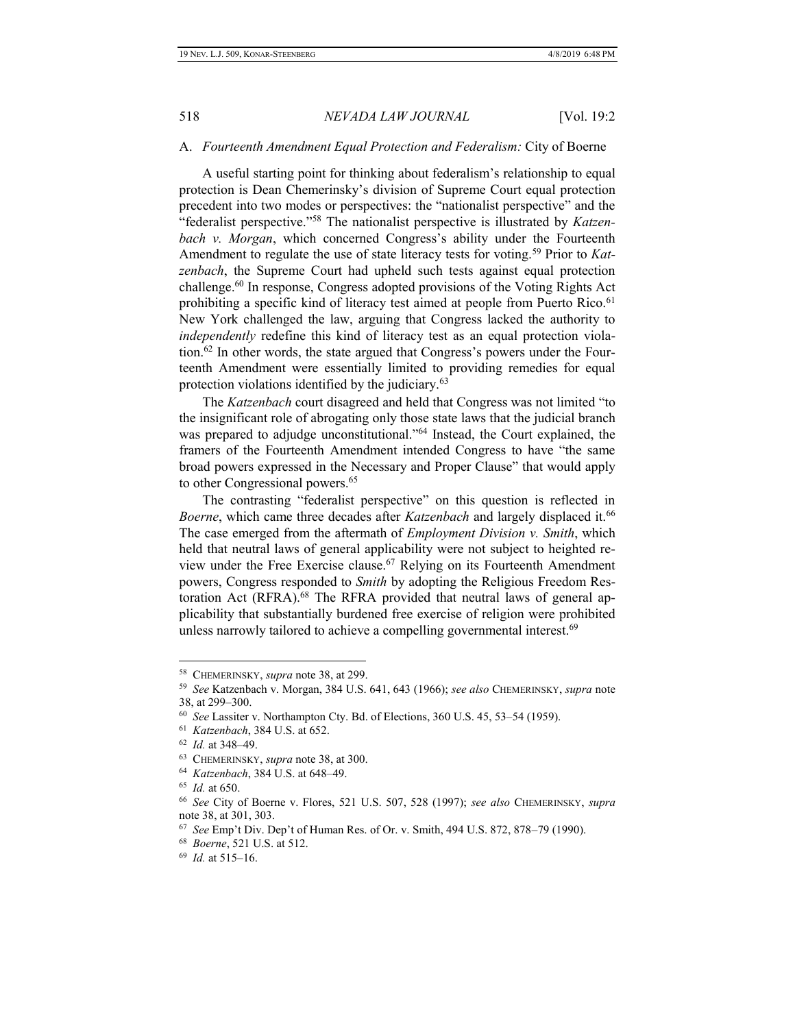### A. *Fourteenth Amendment Equal Protection and Federalism:* City of Boerne

A useful starting point for thinking about federalism's relationship to equal protection is Dean Chemerinsky's division of Supreme Court equal protection precedent into two modes or perspectives: the "nationalist perspective" and the "federalist perspective."<sup>58</sup> The nationalist perspective is illustrated by *Katzenbach v. Morgan*, which concerned Congress's ability under the Fourteenth Amendment to regulate the use of state literacy tests for voting.<sup>59</sup> Prior to *Katzenbach*, the Supreme Court had upheld such tests against equal protection challenge.<sup>60</sup> In response, Congress adopted provisions of the Voting Rights Act prohibiting a specific kind of literacy test aimed at people from Puerto Rico.<sup>61</sup> New York challenged the law, arguing that Congress lacked the authority to *independently* redefine this kind of literacy test as an equal protection violation.<sup>62</sup> In other words, the state argued that Congress's powers under the Fourteenth Amendment were essentially limited to providing remedies for equal protection violations identified by the judiciary.<sup>63</sup>

The *Katzenbach* court disagreed and held that Congress was not limited "to the insignificant role of abrogating only those state laws that the judicial branch was prepared to adjudge unconstitutional."<sup>64</sup> Instead, the Court explained, the framers of the Fourteenth Amendment intended Congress to have "the same broad powers expressed in the Necessary and Proper Clause" that would apply to other Congressional powers.<sup>65</sup>

The contrasting "federalist perspective" on this question is reflected in *Boerne*, which came three decades after *Katzenbach* and largely displaced it.<sup>66</sup> The case emerged from the aftermath of *Employment Division v. Smith*, which held that neutral laws of general applicability were not subject to heighted review under the Free Exercise clause.<sup>67</sup> Relying on its Fourteenth Amendment powers, Congress responded to *Smith* by adopting the Religious Freedom Restoration Act (RFRA).<sup>68</sup> The RFRA provided that neutral laws of general applicability that substantially burdened free exercise of religion were prohibited unless narrowly tailored to achieve a compelling governmental interest.<sup>69</sup>

<sup>58</sup> CHEMERINSKY, *supra* note 38, at 299.

<sup>59</sup> *See* Katzenbach v. Morgan, 384 U.S. 641, 643 (1966); *see also* CHEMERINSKY, *supra* note 38, at 299–300.

<sup>60</sup> *See* Lassiter v. Northampton Cty. Bd. of Elections, 360 U.S. 45, 53–54 (1959).

<sup>61</sup> *Katzenbach*, 384 U.S. at 652.

<sup>62</sup> *Id.* at 348–49.

<sup>63</sup> CHEMERINSKY, *supra* note 38, at 300.

<sup>64</sup> *Katzenbach*, 384 U.S. at 648–49.

<sup>65</sup> *Id.* at 650.

<sup>66</sup> *See* City of Boerne v. Flores, 521 U.S. 507, 528 (1997); *see also* CHEMERINSKY, *supra* note 38, at 301, 303.

<sup>67</sup> *See* Emp't Div. Dep't of Human Res. of Or. v. Smith, 494 U.S. 872, 878–79 (1990).

<sup>68</sup> *Boerne*, 521 U.S. at 512.

<sup>69</sup> *Id.* at 515–16.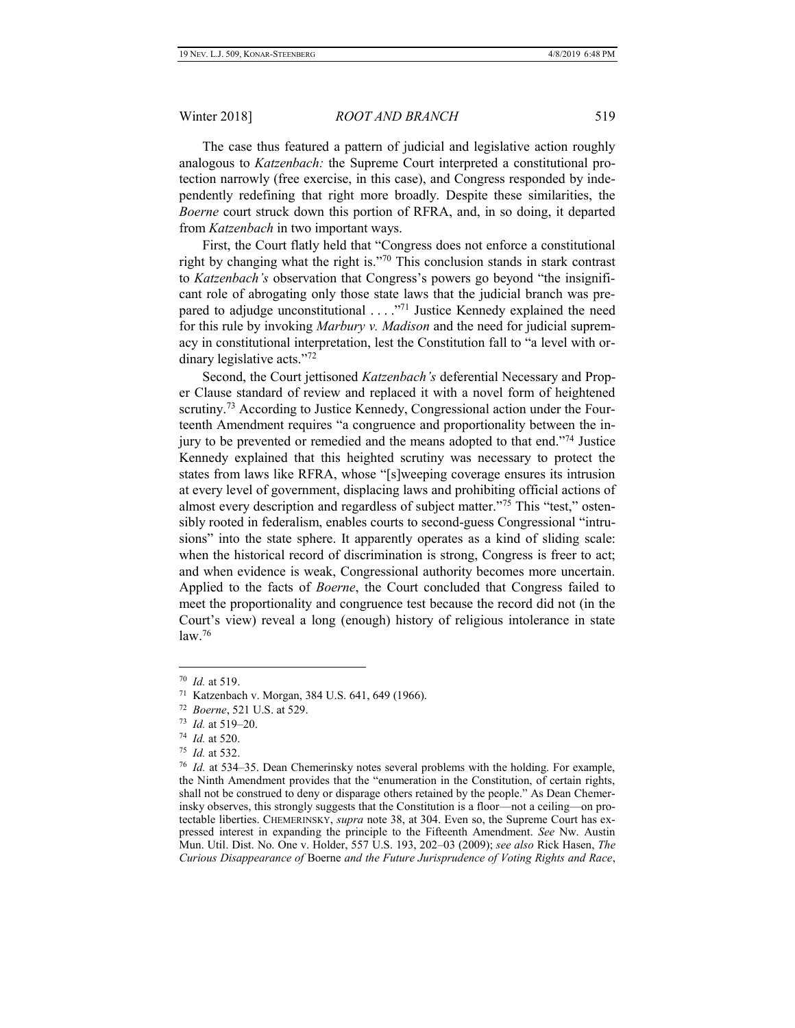The case thus featured a pattern of judicial and legislative action roughly analogous to *Katzenbach:* the Supreme Court interpreted a constitutional protection narrowly (free exercise, in this case), and Congress responded by independently redefining that right more broadly. Despite these similarities, the *Boerne* court struck down this portion of RFRA, and, in so doing, it departed from *Katzenbach* in two important ways.

First, the Court flatly held that "Congress does not enforce a constitutional right by changing what the right is."<sup>70</sup> This conclusion stands in stark contrast to *Katzenbach's* observation that Congress's powers go beyond "the insignificant role of abrogating only those state laws that the judicial branch was prepared to adjudge unconstitutional  $\ldots$   $\frac{m}{1}$  Justice Kennedy explained the need for this rule by invoking *Marbury v. Madison* and the need for judicial supremacy in constitutional interpretation, lest the Constitution fall to "a level with ordinary legislative acts."<sup>72</sup>

Second, the Court jettisoned *Katzenbach's* deferential Necessary and Proper Clause standard of review and replaced it with a novel form of heightened scrutiny.<sup>73</sup> According to Justice Kennedy, Congressional action under the Fourteenth Amendment requires "a congruence and proportionality between the injury to be prevented or remedied and the means adopted to that end."<sup>74</sup> Justice Kennedy explained that this heighted scrutiny was necessary to protect the states from laws like RFRA, whose "[s]weeping coverage ensures its intrusion at every level of government, displacing laws and prohibiting official actions of almost every description and regardless of subject matter."<sup>75</sup> This "test," ostensibly rooted in federalism, enables courts to second-guess Congressional "intrusions" into the state sphere. It apparently operates as a kind of sliding scale: when the historical record of discrimination is strong, Congress is freer to act; and when evidence is weak, Congressional authority becomes more uncertain. Applied to the facts of *Boerne*, the Court concluded that Congress failed to meet the proportionality and congruence test because the record did not (in the Court's view) reveal a long (enough) history of religious intolerance in state law.<sup>76</sup>

<sup>70</sup> *Id.* at 519.

<sup>71</sup> Katzenbach v. Morgan, 384 U.S. 641, 649 (1966).

<sup>72</sup> *Boerne*, 521 U.S. at 529.

<sup>73</sup> *Id.* at 519–20.

<sup>74</sup> *Id.* at 520.

<sup>75</sup> *Id.* at 532.

<sup>76</sup> *Id.* at 534–35. Dean Chemerinsky notes several problems with the holding. For example, the Ninth Amendment provides that the "enumeration in the Constitution, of certain rights, shall not be construed to deny or disparage others retained by the people." As Dean Chemerinsky observes, this strongly suggests that the Constitution is a floor—not a ceiling—on protectable liberties. CHEMERINSKY, *supra* note 38, at 304. Even so, the Supreme Court has expressed interest in expanding the principle to the Fifteenth Amendment. *See* Nw. Austin Mun. Util. Dist. No. One v. Holder, 557 U.S. 193, 202–03 (2009); *see also* Rick Hasen, *The Curious Disappearance of* Boerne *and the Future Jurisprudence of Voting Rights and Race*,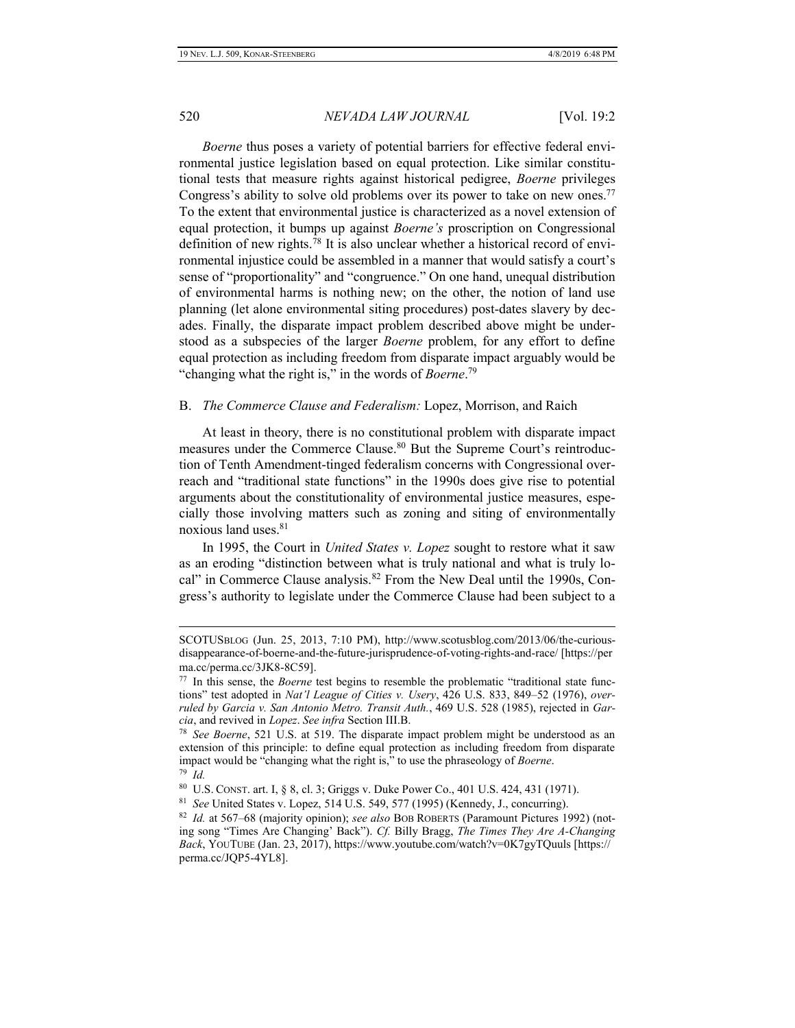$\overline{a}$ 

### 520 *NEVADA LAW JOURNAL* [Vol. 19:2

*Boerne* thus poses a variety of potential barriers for effective federal environmental justice legislation based on equal protection. Like similar constitutional tests that measure rights against historical pedigree, *Boerne* privileges Congress's ability to solve old problems over its power to take on new ones.<sup>77</sup> To the extent that environmental justice is characterized as a novel extension of equal protection, it bumps up against *Boerne's* proscription on Congressional definition of new rights.<sup>78</sup> It is also unclear whether a historical record of environmental injustice could be assembled in a manner that would satisfy a court's sense of "proportionality" and "congruence." On one hand, unequal distribution of environmental harms is nothing new; on the other, the notion of land use planning (let alone environmental siting procedures) post-dates slavery by decades. Finally, the disparate impact problem described above might be understood as a subspecies of the larger *Boerne* problem, for any effort to define equal protection as including freedom from disparate impact arguably would be "changing what the right is," in the words of *Boerne*. 79

### B. *The Commerce Clause and Federalism:* Lopez, Morrison, and Raich

At least in theory, there is no constitutional problem with disparate impact measures under the Commerce Clause.<sup>80</sup> But the Supreme Court's reintroduction of Tenth Amendment-tinged federalism concerns with Congressional overreach and "traditional state functions" in the 1990s does give rise to potential arguments about the constitutionality of environmental justice measures, especially those involving matters such as zoning and siting of environmentally noxious land uses.<sup>81</sup>

In 1995, the Court in *United States v. Lopez* sought to restore what it saw as an eroding "distinction between what is truly national and what is truly local" in Commerce Clause analysis.<sup>82</sup> From the New Deal until the 1990s, Congress's authority to legislate under the Commerce Clause had been subject to a

SCOTUSBLOG (Jun. 25, 2013, 7:10 PM), http://www.scotusblog.com/2013/06/the-curiousdisappearance-of-boerne-and-the-future-jurisprudence-of-voting-rights-and-race/ [https://per ma.cc/perma.cc/3JK8-8C59].

<sup>&</sup>lt;sup>77</sup> In this sense, the *Boerne* test begins to resemble the problematic "traditional state functions" test adopted in *Nat'l League of Cities v. Usery*, 426 U.S. 833, 849–52 (1976), *overruled by Garcia v. San Antonio Metro. Transit Auth.*, 469 U.S. 528 (1985), rejected in *Garcia*, and revived in *Lopez*. *See infra* Section III.B.

<sup>78</sup> *See Boerne*, 521 U.S. at 519. The disparate impact problem might be understood as an extension of this principle: to define equal protection as including freedom from disparate impact would be "changing what the right is," to use the phraseology of *Boerne*. 79 *Id.*

<sup>80</sup> U.S. CONST. art. I, § 8, cl. 3; Griggs v. Duke Power Co., 401 U.S. 424, 431 (1971).

<sup>81</sup> *See* United States v. Lopez, 514 U.S. 549, 577 (1995) (Kennedy, J., concurring).

<sup>82</sup> *Id.* at 567–68 (majority opinion); *see also* BOB ROBERTS (Paramount Pictures 1992) (noting song "Times Are Changing' Back"). *Cf.* Billy Bragg, *The Times They Are A-Changing Back*, YOUTUBE (Jan. 23, 2017), https://www.youtube.com/watch?v=0K7gyTQuuls [https:// perma.cc/JQP5-4YL8].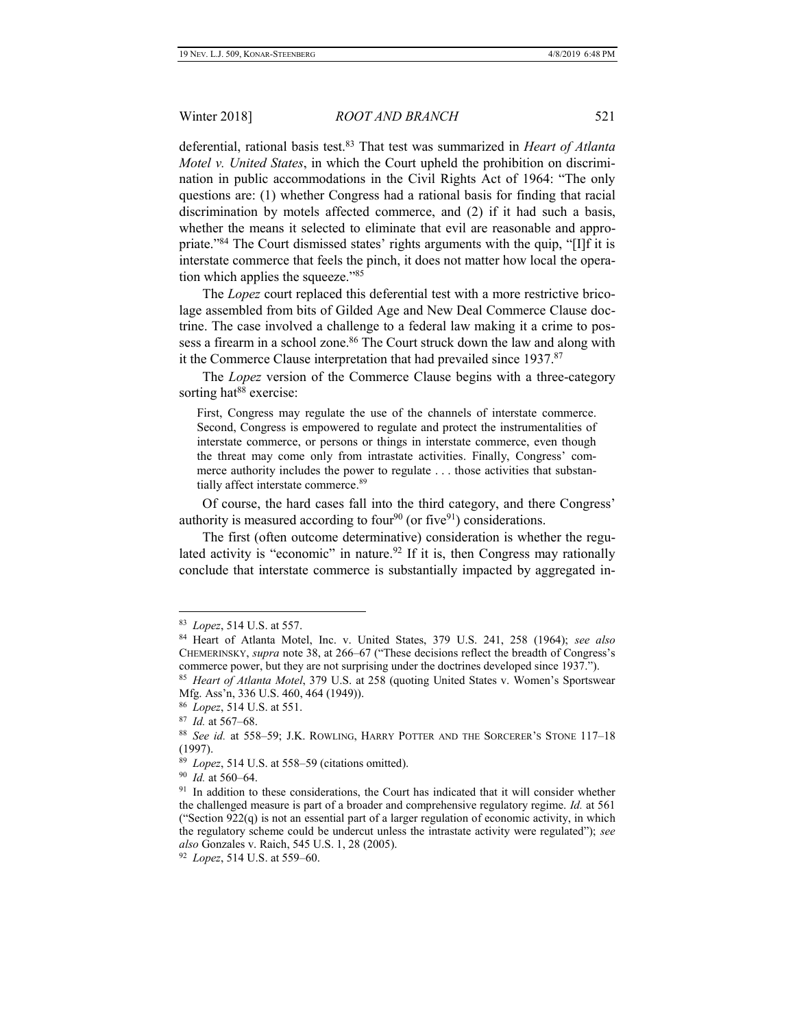deferential, rational basis test.<sup>83</sup> That test was summarized in *Heart of Atlanta Motel v. United States*, in which the Court upheld the prohibition on discrimination in public accommodations in the Civil Rights Act of 1964: "The only questions are: (1) whether Congress had a rational basis for finding that racial discrimination by motels affected commerce, and (2) if it had such a basis, whether the means it selected to eliminate that evil are reasonable and appropriate."<sup>84</sup> The Court dismissed states' rights arguments with the quip, "[I]f it is interstate commerce that feels the pinch, it does not matter how local the operation which applies the squeeze."<sup>85</sup>

The *Lopez* court replaced this deferential test with a more restrictive bricolage assembled from bits of Gilded Age and New Deal Commerce Clause doctrine. The case involved a challenge to a federal law making it a crime to possess a firearm in a school zone.<sup>86</sup> The Court struck down the law and along with it the Commerce Clause interpretation that had prevailed since 1937.<sup>87</sup>

The *Lopez* version of the Commerce Clause begins with a three-category sorting hat<sup>88</sup> exercise:

First, Congress may regulate the use of the channels of interstate commerce. Second, Congress is empowered to regulate and protect the instrumentalities of interstate commerce, or persons or things in interstate commerce, even though the threat may come only from intrastate activities. Finally, Congress' commerce authority includes the power to regulate . . . those activities that substantially affect interstate commerce.<sup>89</sup>

Of course, the hard cases fall into the third category, and there Congress' authority is measured according to four<sup>90</sup> (or five<sup>91</sup>) considerations.

The first (often outcome determinative) consideration is whether the regulated activity is "economic" in nature.<sup>92</sup> If it is, then Congress may rationally conclude that interstate commerce is substantially impacted by aggregated in-

<sup>83</sup> *Lopez*, 514 U.S. at 557.

<sup>84</sup> Heart of Atlanta Motel, Inc. v. United States, 379 U.S. 241, 258 (1964); *see also* CHEMERINSKY, *supra* note 38, at 266–67 ("These decisions reflect the breadth of Congress's commerce power, but they are not surprising under the doctrines developed since 1937.").

<sup>85</sup> *Heart of Atlanta Motel*, 379 U.S. at 258 (quoting [United States v. Women's Sportswear](https://1.next.westlaw.com/Link/Document/FullText?findType=Y&serNum=1949119308&pubNum=708&originatingDoc=I9a3d9a729c9c11d991d0cc6b54f12d4d&refType=RP&fi=co_pp_sp_708_716&originationContext=document&transitionType=DocumentItem&contextData=(sc.Default)#co_pp_sp_708_716)  [Mfg. Ass'n, 336 U.S. 460, 4](https://1.next.westlaw.com/Link/Document/FullText?findType=Y&serNum=1949119308&pubNum=708&originatingDoc=I9a3d9a729c9c11d991d0cc6b54f12d4d&refType=RP&fi=co_pp_sp_708_716&originationContext=document&transitionType=DocumentItem&contextData=(sc.Default)#co_pp_sp_708_716)64 (1949)).

<sup>86</sup> *Lopez*, 514 U.S. at 551.

<sup>87</sup> *Id.* at 567–68.

<sup>88</sup> *See id.* at 558–59; J.K. ROWLING, HARRY POTTER AND THE SORCERER'S STONE 117–18 (1997).

<sup>89</sup> *Lopez*, 514 U.S. at 558–59 (citations omitted).

<sup>90</sup> *Id.* at 560–64.

<sup>&</sup>lt;sup>91</sup> In addition to these considerations, the Court has indicated that it will consider whether the challenged measure is part of a broader and comprehensive regulatory regime. *Id.* at 561 ("[Section 922\(q\)](https://1.next.westlaw.com/Link/Document/FullText?findType=L&pubNum=1000546&cite=18USCAS922&originatingDoc=Ice9837d29c9611d993e6d35cc61aab4a&refType=RB&originationContext=document&transitionType=DocumentItem&contextData=(sc.Search)#co_pp_7f6e000041341) is not an essential part of a larger regulation of economic activity, in which the regulatory scheme could be undercut unless the intrastate activity were regulated"); *see also* Gonzales v. Raich, 545 U.S. 1, 28 (2005).

<sup>92</sup> *Lopez*, 514 U.S. at 559–60.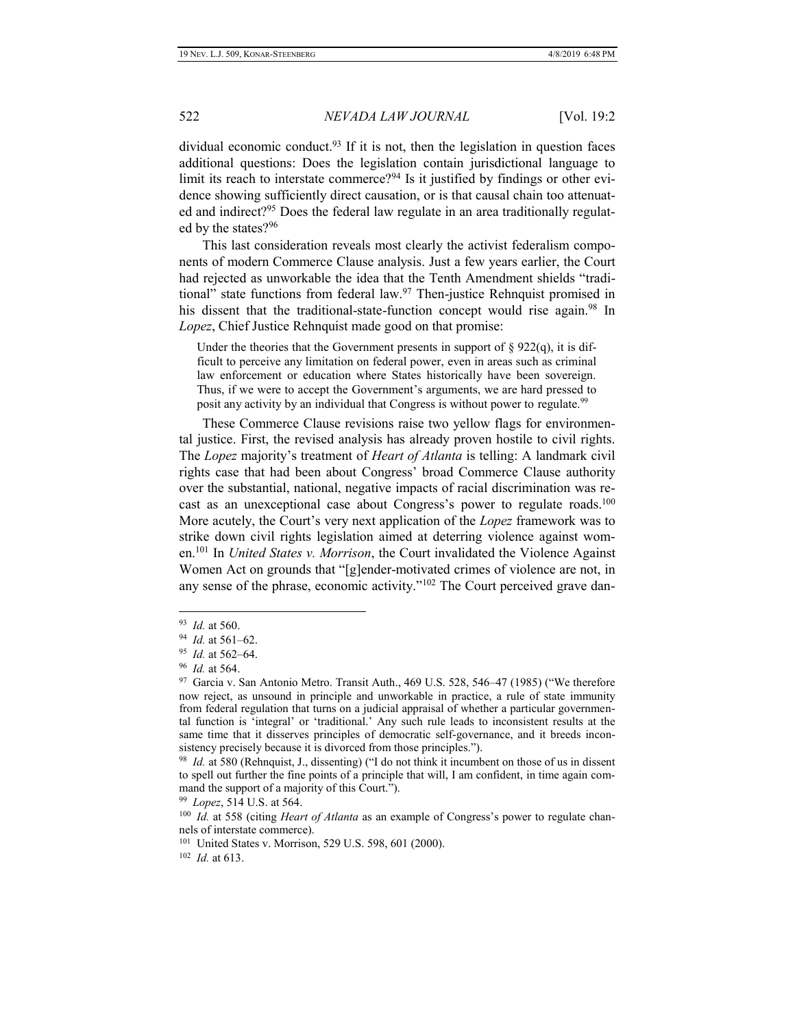dividual economic conduct.<sup>93</sup> If it is not, then the legislation in question faces additional questions: Does the legislation contain jurisdictional language to limit its reach to interstate commerce?<sup>94</sup> Is it justified by findings or other evidence showing sufficiently direct causation, or is that causal chain too attenuated and indirect?<sup>95</sup> Does the federal law regulate in an area traditionally regulated by the states?<sup>96</sup>

This last consideration reveals most clearly the activist federalism components of modern Commerce Clause analysis. Just a few years earlier, the Court had rejected as unworkable the idea that the Tenth Amendment shields "traditional" state functions from federal law.<sup>97</sup> Then-justice Rehnquist promised in his dissent that the traditional-state-function concept would rise again.<sup>98</sup> In *Lopez*, Chief Justice Rehnquist made good on that promise:

Under the theories that the Government presents in support of  $\S 922(q)$ , it is difficult to perceive any limitation on federal power, even in areas such as criminal law enforcement or education where States historically have been sovereign. Thus, if we were to accept the Government's arguments, we are hard pressed to posit any activity by an individual that Congress is without power to regulate.<sup>99</sup>

These Commerce Clause revisions raise two yellow flags for environmental justice. First, the revised analysis has already proven hostile to civil rights. The *Lopez* majority's treatment of *Heart of Atlanta* is telling: A landmark civil rights case that had been about Congress' broad Commerce Clause authority over the substantial, national, negative impacts of racial discrimination was recast as an unexceptional case about Congress's power to regulate roads.<sup>100</sup> More acutely, the Court's very next application of the *Lopez* framework was to strike down civil rights legislation aimed at deterring violence against women.<sup>101</sup> In *United States v. Morrison*, the Court invalidated the Violence Against Women Act on grounds that "[g]ender-motivated crimes of violence are not, in any sense of the phrase, economic activity."<sup>102</sup> The Court perceived grave dan-

<sup>93</sup> *Id.* at 560.

<sup>94</sup> *Id.* at 561–62.

<sup>95</sup> *Id.* at 562–64.

<sup>96</sup> *Id.* at 564.

<sup>&</sup>lt;sup>97</sup> Garcia v. San Antonio Metro. Transit Auth., 469 U.S. 528, 546-47 (1985) ("We therefore now reject, as unsound in principle and unworkable in practice, a rule of state immunity from federal regulation that turns on a judicial appraisal of whether a particular governmental function is 'integral' or 'traditional.' Any such rule leads to inconsistent results at the same time that it disserves principles of democratic self-governance, and it breeds inconsistency precisely because it is divorced from those principles.").

<sup>98</sup> *Id.* at 580 (Rehnquist, J., dissenting) ("I do not think it incumbent on those of us in dissent to spell out further the fine points of a principle that will, I am confident, in time again command the support of a majority of this Court.").

<sup>99</sup> *Lopez*, 514 U.S. at 564.

<sup>100</sup> *Id.* at 558 (citing *Heart of Atlanta* as an example of Congress's power to regulate channels of interstate commerce).

<sup>101</sup> United States v. Morrison, 529 U.S. 598, 601 (2000).

<sup>102</sup> *Id.* at 613.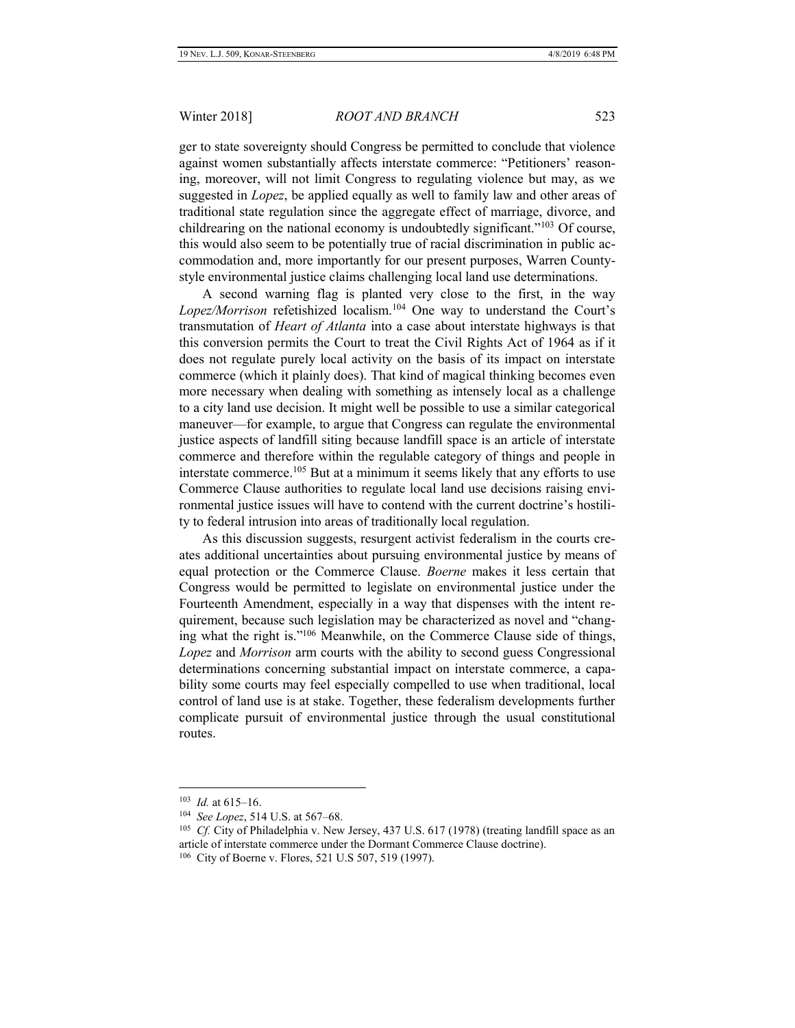ger to state sovereignty should Congress be permitted to conclude that violence against women substantially affects interstate commerce: "Petitioners' reasoning, moreover, will not limit Congress to regulating violence but may, as we suggested in *Lopez*, be applied equally as well to family law and other areas of traditional state regulation since the aggregate effect of marriage, divorce, and childrearing on the national economy is undoubtedly significant."<sup>103</sup> Of course, this would also seem to be potentially true of racial discrimination in public accommodation and, more importantly for our present purposes, Warren Countystyle environmental justice claims challenging local land use determinations.

A second warning flag is planted very close to the first, in the way *Lopez/Morrison* refetishized localism.<sup>104</sup> One way to understand the Court's transmutation of *Heart of Atlanta* into a case about interstate highways is that this conversion permits the Court to treat the Civil Rights Act of 1964 as if it does not regulate purely local activity on the basis of its impact on interstate commerce (which it plainly does). That kind of magical thinking becomes even more necessary when dealing with something as intensely local as a challenge to a city land use decision. It might well be possible to use a similar categorical maneuver—for example, to argue that Congress can regulate the environmental justice aspects of landfill siting because landfill space is an article of interstate commerce and therefore within the regulable category of things and people in interstate commerce.<sup>105</sup> But at a minimum it seems likely that any efforts to use Commerce Clause authorities to regulate local land use decisions raising environmental justice issues will have to contend with the current doctrine's hostility to federal intrusion into areas of traditionally local regulation.

As this discussion suggests, resurgent activist federalism in the courts creates additional uncertainties about pursuing environmental justice by means of equal protection or the Commerce Clause. *Boerne* makes it less certain that Congress would be permitted to legislate on environmental justice under the Fourteenth Amendment, especially in a way that dispenses with the intent requirement, because such legislation may be characterized as novel and "changing what the right is."<sup>106</sup> Meanwhile, on the Commerce Clause side of things, *Lopez* and *Morrison* arm courts with the ability to second guess Congressional determinations concerning substantial impact on interstate commerce, a capability some courts may feel especially compelled to use when traditional, local control of land use is at stake. Together, these federalism developments further complicate pursuit of environmental justice through the usual constitutional routes.

l

<sup>103</sup> *Id.* at 615–16.

<sup>104</sup> *See Lopez*, 514 U.S. at 567–68.

<sup>&</sup>lt;sup>105</sup> Cf. City of Philadelphia v. New Jersey, 437 U.S. 617 (1978) (treating landfill space as an article of interstate commerce under the Dormant Commerce Clause doctrine).

<sup>106</sup> City of Boerne v. Flores, 521 U.S 507, 519 (1997).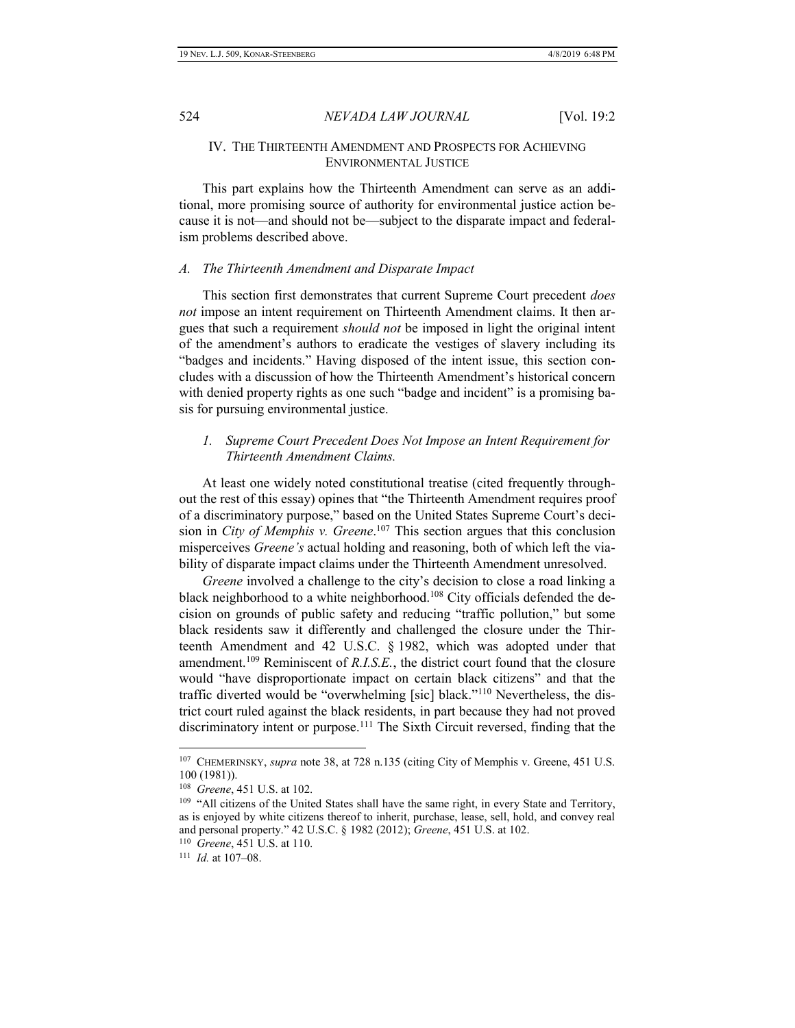### IV. THE THIRTEENTH AMENDMENT AND PROSPECTS FOR ACHIEVING ENVIRONMENTAL JUSTICE

This part explains how the Thirteenth Amendment can serve as an additional, more promising source of authority for environmental justice action because it is not—and should not be—subject to the disparate impact and federalism problems described above.

#### *A. The Thirteenth Amendment and Disparate Impact*

This section first demonstrates that current Supreme Court precedent *does not* impose an intent requirement on Thirteenth Amendment claims. It then argues that such a requirement *should not* be imposed in light the original intent of the amendment's authors to eradicate the vestiges of slavery including its "badges and incidents." Having disposed of the intent issue, this section concludes with a discussion of how the Thirteenth Amendment's historical concern with denied property rights as one such "badge and incident" is a promising basis for pursuing environmental justice.

# *1. Supreme Court Precedent Does Not Impose an Intent Requirement for Thirteenth Amendment Claims.*

At least one widely noted constitutional treatise (cited frequently throughout the rest of this essay) opines that "the Thirteenth Amendment requires proof of a discriminatory purpose," based on the United States Supreme Court's decision in *City of Memphis v. Greene*. <sup>107</sup> This section argues that this conclusion misperceives *Greene's* actual holding and reasoning, both of which left the viability of disparate impact claims under the Thirteenth Amendment unresolved.

*Greene* involved a challenge to the city's decision to close a road linking a black neighborhood to a white neighborhood.<sup>108</sup> City officials defended the decision on grounds of public safety and reducing "traffic pollution," but some black residents saw it differently and challenged the closure under the Thirteenth Amendment and 42 U.S.C. § 1982, which was adopted under that amendment.<sup>109</sup> Reminiscent of *R.I.S.E.*, the district court found that the closure would "have disproportionate impact on certain black citizens" and that the traffic diverted would be "overwhelming [sic] black."<sup>110</sup> Nevertheless, the district court ruled against the black residents, in part because they had not proved discriminatory intent or purpose.<sup>111</sup> The Sixth Circuit reversed, finding that the

<sup>107</sup> CHEMERINSKY, *supra* note 38, at 728 n.135 (citing City of Memphis v. Greene, 451 U.S. 100 (1981)).

<sup>108</sup> *Greene*, 451 U.S. at 102.

<sup>&</sup>lt;sup>109</sup> "All citizens of the United [States](https://www.law.cornell.edu/definitions/uscode.php?width=840&height=800&iframe=true&def_id=42-USC-80204913-1546477212&term_occur=2&term_src=title:42:chapter:21:subchapter:I:section:1982) shall have the same right, in every [State](https://www.law.cornell.edu/definitions/uscode.php?width=840&height=800&iframe=true&def_id=42-USC-80204913-1546477212&term_occur=3&term_src=title:42:chapter:21:subchapter:I:section:1982) and Territory, as is enjoyed by white citizens thereof to inherit, purchase, lease, sell, hold, and convey real and personal property." 42 U.S.C. § 1982 (2012); *Greene*, 451 U.S. at 102.

<sup>110</sup> *Greene*, 451 U.S. at 110.

<sup>111</sup> *Id.* at 107–08.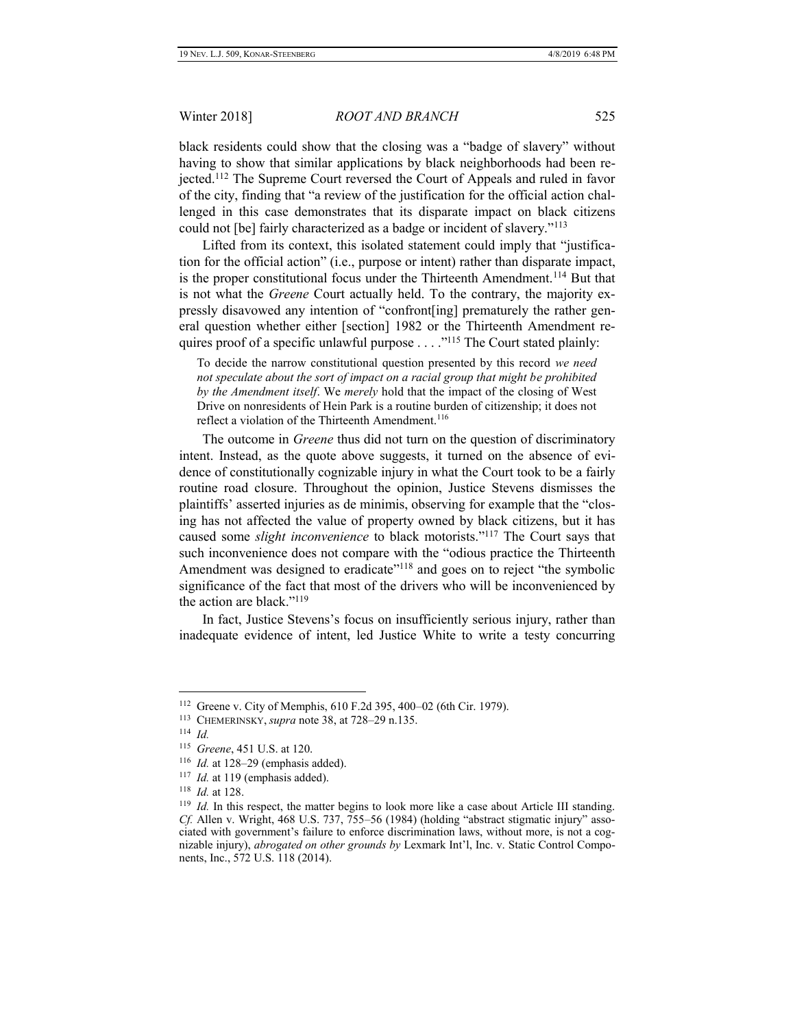black residents could show that the closing was a "badge of slavery" without having to show that similar applications by black neighborhoods had been rejected.<sup>112</sup> The Supreme Court reversed the Court of Appeals and ruled in favor of the city, finding that "a review of the justification for the official action challenged in this case demonstrates that its disparate impact on black citizens could not [be] fairly characterized as a badge or incident of slavery."<sup>113</sup>

Lifted from its context, this isolated statement could imply that "justification for the official action" (i.e., purpose or intent) rather than disparate impact, is the proper constitutional focus under the Thirteenth Amendment.<sup>114</sup> But that is not what the *Greene* Court actually held. To the contrary, the majority expressly disavowed any intention of "confront[ing] prematurely the rather general question whether either [section] 1982 or the Thirteenth Amendment requires proof of a specific unlawful purpose . . . ."<sup>115</sup> The Court stated plainly:

To decide the narrow constitutional question presented by this record *we need not speculate about the sort of impact on a racial group that might be prohibited by the Amendment itself*. We *merely* hold that the impact of the closing of West Drive on nonresidents of Hein Park is a routine burden of citizenship; it does not reflect a violation of the Thirteenth Amendment.<sup>116</sup>

The outcome in *Greene* thus did not turn on the question of discriminatory intent. Instead, as the quote above suggests, it turned on the absence of evidence of constitutionally cognizable injury in what the Court took to be a fairly routine road closure. Throughout the opinion, Justice Stevens dismisses the plaintiffs' asserted injuries as de minimis, observing for example that the "closing has not affected the value of property owned by black citizens, but it has caused some *slight inconvenience* to black motorists."<sup>117</sup> The Court says that such inconvenience does not compare with the "odious practice the Thirteenth Amendment was designed to eradicate"<sup>118</sup> and goes on to reject "the symbolic significance of the fact that most of the drivers who will be inconvenienced by the action are black."<sup>119</sup>

In fact, Justice Stevens's focus on insufficiently serious injury, rather than inadequate evidence of intent, led Justice White to write a testy concurring

<sup>112</sup> Greene v. City of Memphis, 610 F.2d 395, 400–02 (6th Cir. 1979).

<sup>113</sup> CHEMERINSKY, *supra* note 38, at 728–29 n.135.

<sup>114</sup> *Id.*

<sup>115</sup> *Greene*, 451 U.S. at 120.

<sup>116</sup> *Id.* at 128–29 (emphasis added).

<sup>&</sup>lt;sup>117</sup> *Id.* at 119 (emphasis added).

<sup>118</sup> *Id.* at 128.

<sup>&</sup>lt;sup>119</sup> *Id.* In this respect, the matter begins to look more like a case about Article III standing. *Cf.* Allen v. Wright, 468 U.S. 737, 755–56 (1984) (holding "abstract stigmatic injury" associated with government's failure to enforce discrimination laws, without more, is not a cognizable injury), *abrogated on other grounds by* Lexmark Int'l, Inc. v. Static Control Components, Inc., 572 U.S. 118 (2014).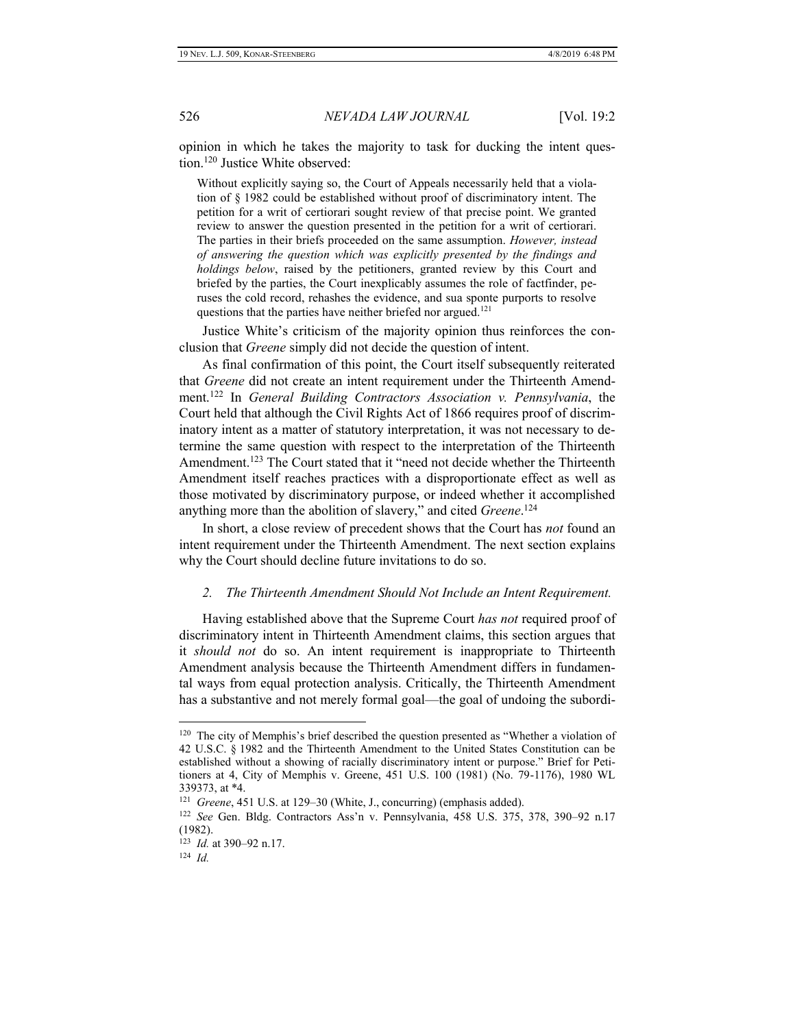opinion in which he takes the majority to task for ducking the intent question.<sup>120</sup> Justice White observed:

Without explicitly saying so, the Court of Appeals necessarily held that a violation of § 1982 could be established without proof of discriminatory intent. The petition for a writ of certiorari sought review of that precise point. We granted review to answer the question presented in the petition for a writ of certiorari. The parties in their briefs proceeded on the same assumption. *However, instead of answering the question which was explicitly presented by the findings and holdings below*, raised by the petitioners, granted review by this Court and briefed by the parties, the Court inexplicably assumes the role of factfinder, peruses the cold record, rehashes the evidence, and sua sponte purports to resolve questions that the parties have neither briefed nor argued.<sup>121</sup>

Justice White's criticism of the majority opinion thus reinforces the conclusion that *Greene* simply did not decide the question of intent.

As final confirmation of this point, the Court itself subsequently reiterated that *Greene* did not create an intent requirement under the Thirteenth Amendment.<sup>122</sup> In *General Building Contractors Association v. Pennsylvania*, the Court held that although the Civil Rights Act of 1866 requires proof of discriminatory intent as a matter of statutory interpretation, it was not necessary to determine the same question with respect to the interpretation of the Thirteenth Amendment.<sup>123</sup> The Court stated that it "need not decide whether the Thirteenth Amendment itself reaches practices with a disproportionate effect as well as those motivated by discriminatory purpose, or indeed whether it accomplished anything more than the abolition of slavery," and cited *Greene*. 124

In short, a close review of precedent shows that the Court has *not* found an intent requirement under the Thirteenth Amendment. The next section explains why the Court should decline future invitations to do so.

#### *2. The Thirteenth Amendment Should Not Include an Intent Requirement.*

Having established above that the Supreme Court *has not* required proof of discriminatory intent in Thirteenth Amendment claims, this section argues that it *should not* do so. An intent requirement is inappropriate to Thirteenth Amendment analysis because the Thirteenth Amendment differs in fundamental ways from equal protection analysis. Critically, the Thirteenth Amendment has a substantive and not merely formal goal—the goal of undoing the subordi-

<sup>&</sup>lt;sup>120</sup> The city of Memphis's brief described the question presented as "Whether a violation of 42 U.S.C. § 1982 and the Thirteenth Amendment to the United States Constitution can be established without a showing of racially discriminatory intent or purpose." Brief for Petitioners at 4, City of Memphis v. Greene, 451 U.S. 100 (1981) (No. 79-1176), 1980 WL 339373, at \*4.

<sup>121</sup> *Greene*, 451 U.S. at 129–30 (White, J., concurring) (emphasis added).

<sup>122</sup> *See* Gen. Bldg. Contractors Ass'n v. Pennsylvania, 458 U.S. 375, 378, 390–92 n.17 (1982).

<sup>123</sup> *Id.* at 390–92 n.17.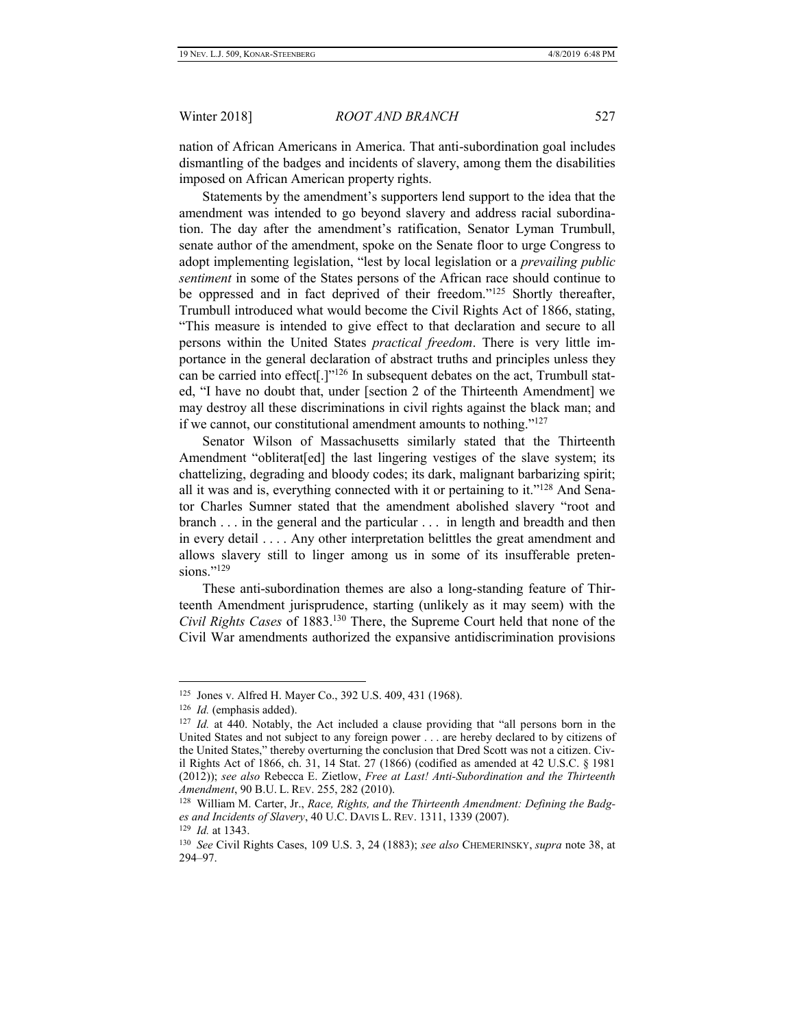nation of African Americans in America. That anti-subordination goal includes dismantling of the badges and incidents of slavery, among them the disabilities imposed on African American property rights.

Statements by the amendment's supporters lend support to the idea that the amendment was intended to go beyond slavery and address racial subordination. The day after the amendment's ratification, Senator Lyman Trumbull, senate author of the amendment, spoke on the Senate floor to urge Congress to adopt implementing legislation, "lest by local legislation or a *prevailing public sentiment* in some of the States persons of the African race should continue to be oppressed and in fact deprived of their freedom."<sup>125</sup> Shortly thereafter, Trumbull introduced what would become the Civil Rights Act of 1866, stating, "This measure is intended to give effect to that declaration and secure to all persons within the United States *practical freedom*. There is very little importance in the general declaration of abstract truths and principles unless they can be carried into effect[.]"<sup>126</sup> In subsequent debates on the act, Trumbull stated, "I have no doubt that, under [section 2 of the Thirteenth Amendment] we may destroy all these discriminations in civil rights against the black man; and if we cannot, our constitutional amendment amounts to nothing."<sup>127</sup>

Senator Wilson of Massachusetts similarly stated that the Thirteenth Amendment "obliterat[ed] the last lingering vestiges of the slave system; its chattelizing, degrading and bloody codes; its dark, malignant barbarizing spirit; all it was and is, everything connected with it or pertaining to it."<sup>128</sup> And Senator Charles Sumner stated that the amendment abolished slavery "root and branch . . . in the general and the particular . . . in length and breadth and then in every detail . . . . Any other interpretation belittles the great amendment and allows slavery still to linger among us in some of its insufferable pretensions."<sup>129</sup>

These anti-subordination themes are also a long-standing feature of Thirteenth Amendment jurisprudence, starting (unlikely as it may seem) with the *Civil Rights Cases* of 1883.<sup>130</sup> There, the Supreme Court held that none of the Civil War amendments authorized the expansive antidiscrimination provisions

<sup>125</sup> Jones v. Alfred H. Mayer Co., 392 U.S. 409, 431 (1968).

<sup>&</sup>lt;sup>126</sup> *Id.* (emphasis added).

<sup>&</sup>lt;sup>127</sup> *Id.* at 440. Notably, the Act included a clause providing that "all persons born in the United States and not subject to any foreign power . . . are hereby declared to by citizens of the United States," thereby overturning the conclusion that Dred Scott was not a citizen. Civil Rights Act of 1866, ch. 31, 14 Stat. 27 (1866) (codified as amended at 42 U.S.C. § 1981 (2012)); *see also* Rebecca E. Zietlow, *Free at Last! Anti-Subordination and the Thirteenth Amendment*, 90 B.U. L. REV. 255, 282 (2010).

<sup>128</sup> William M. Carter, Jr., *Race, Rights, and the Thirteenth Amendment: Defining the Badges and Incidents of Slavery*, 40 U.C. DAVIS L. REV. 1311, 1339 (2007).

<sup>129</sup> *Id.* at 1343.

<sup>130</sup> *See* Civil Rights Cases, 109 U.S. 3, 24 (1883); *see also* CHEMERINSKY, *supra* note 38, at 294–97.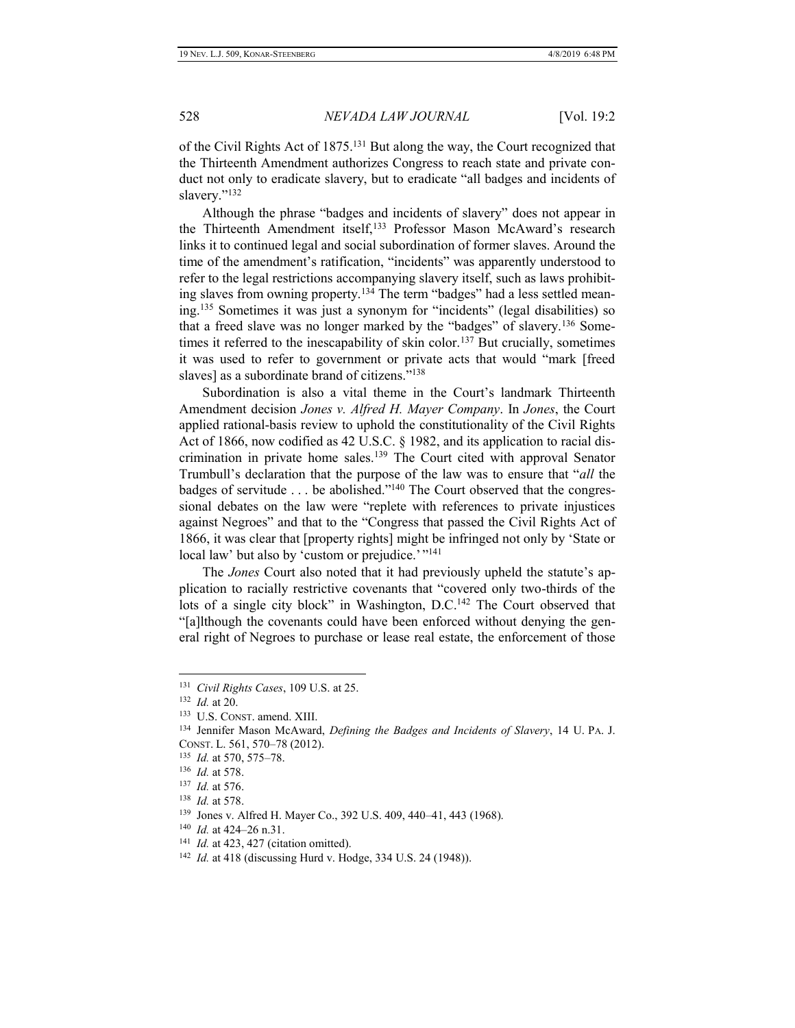of the Civil Rights Act of 1875.<sup>131</sup> But along the way, the Court recognized that the Thirteenth Amendment authorizes Congress to reach state and private conduct not only to eradicate slavery, but to eradicate "all badges and incidents of slavery."<sup>132</sup>

Although the phrase "badges and incidents of slavery" does not appear in the Thirteenth Amendment itself,<sup>133</sup> Professor Mason McAward's research links it to continued legal and social subordination of former slaves. Around the time of the amendment's ratification, "incidents" was apparently understood to refer to the legal restrictions accompanying slavery itself, such as laws prohibiting slaves from owning property.<sup>134</sup> The term "badges" had a less settled meaning.<sup>135</sup> Sometimes it was just a synonym for "incidents" (legal disabilities) so that a freed slave was no longer marked by the "badges" of slavery.<sup>136</sup> Sometimes it referred to the inescapability of skin color.<sup>137</sup> But crucially, sometimes it was used to refer to government or private acts that would "mark [freed slaves] as a subordinate brand of citizens."<sup>138</sup>

Subordination is also a vital theme in the Court's landmark Thirteenth Amendment decision *Jones v. Alfred H. Mayer Company*. In *Jones*, the Court applied rational-basis review to uphold the constitutionality of the Civil Rights Act of 1866, now codified as 42 U.S.C. § 1982, and its application to racial discrimination in private home sales.<sup>139</sup> The Court cited with approval Senator Trumbull's declaration that the purpose of the law was to ensure that "*all* the badges of servitude . . . be abolished."<sup>140</sup> The Court observed that the congressional debates on the law were "replete with references to private injustices against Negroes" and that to the "Congress that passed the Civil Rights Act of 1866, it was clear that [property rights] might be infringed not only by 'State or local law' but also by 'custom or prejudice.'"<sup>141</sup>

The *Jones* Court also noted that it had previously upheld the statute's application to racially restrictive covenants that "covered only two-thirds of the lots of a single city block" in Washington, D.C.<sup>142</sup> The Court observed that "[a]lthough the covenants could have been enforced without denying the general right of Negroes to purchase or lease real estate, the enforcement of those

<sup>131</sup> *Civil Rights Cases*, 109 U.S. at 25.

<sup>132</sup> *Id.* at 20.

<sup>133</sup> U.S. CONST. amend. XIII.

<sup>134</sup> Jennifer Mason McAward, *Defining the Badges and Incidents of Slavery*, 14 U. PA. J. CONST. L. 561, 570–78 (2012).

<sup>135</sup>  *Id.* at 570, 575–78.

<sup>136</sup> *Id.* at 578.

<sup>137</sup>  *Id.* at 576.

<sup>138</sup> *Id.* at 578.

<sup>139</sup> Jones v. Alfred H. Mayer Co., 392 U.S. 409, 440–41, 443 (1968).

<sup>140</sup> *Id.* at 424–26 n.31.

<sup>&</sup>lt;sup>141</sup> *Id.* at 423, 427 (citation omitted).

<sup>142</sup> *Id.* at 418 (discussing Hurd v. Hodge, 334 U.S. 24 (1948)).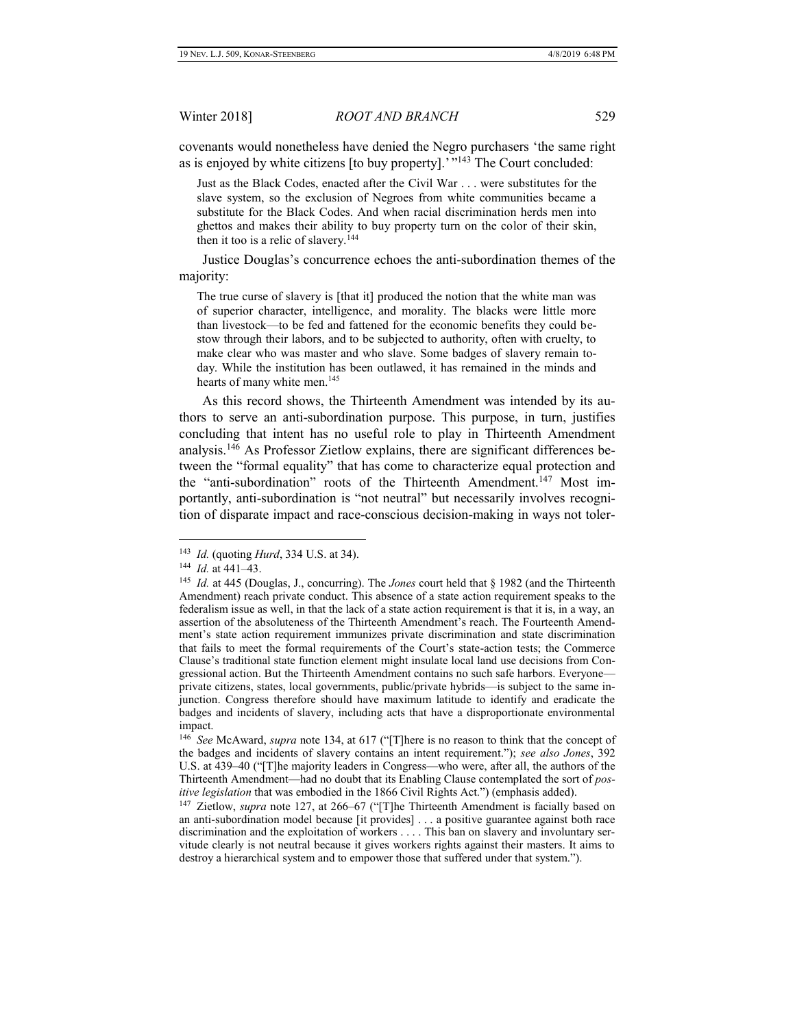covenants would nonetheless have denied the Negro purchasers 'the same right as is enjoyed by white citizens [to buy property].' "<sup>143</sup> The Court concluded:

Just as the Black Codes, enacted after the Civil War . . . were substitutes for the slave system, so the exclusion of Negroes from white communities became a substitute for the Black Codes. And when racial discrimination herds men into ghettos and makes their ability to buy property turn on the color of their skin, then it too is a relic of slavery.<sup>144</sup>

Justice Douglas's concurrence echoes the anti-subordination themes of the majority:

The true curse of slavery is [that it] produced the notion that the white man was of superior character, intelligence, and morality. The blacks were little more than livestock—to be fed and fattened for the economic benefits they could bestow through their labors, and to be subjected to authority, often with cruelty, to make clear who was master and who slave. Some badges of slavery remain today. While the institution has been outlawed, it has remained in the minds and hearts of many white men.<sup>145</sup>

As this record shows, the Thirteenth Amendment was intended by its authors to serve an anti-subordination purpose. This purpose, in turn, justifies concluding that intent has no useful role to play in Thirteenth Amendment analysis.<sup>146</sup> As Professor Zietlow explains, there are significant differences between the "formal equality" that has come to characterize equal protection and the "anti-subordination" roots of the Thirteenth Amendment.<sup>147</sup> Most importantly, anti-subordination is "not neutral" but necessarily involves recognition of disparate impact and race-conscious decision-making in ways not toler-

<sup>143</sup> *Id.* (quoting *Hurd*, 334 U.S. at 34).

<sup>144</sup> *Id.* at 441–43.

<sup>145</sup> *Id.* at 445 (Douglas, J., concurring). The *Jones* court held that § 1982 (and the Thirteenth Amendment) reach private conduct. This absence of a state action requirement speaks to the federalism issue as well, in that the lack of a state action requirement is that it is, in a way, an assertion of the absoluteness of the Thirteenth Amendment's reach. The Fourteenth Amendment's state action requirement immunizes private discrimination and state discrimination that fails to meet the formal requirements of the Court's state-action tests; the Commerce Clause's traditional state function element might insulate local land use decisions from Congressional action. But the Thirteenth Amendment contains no such safe harbors. Everyone private citizens, states, local governments, public/private hybrids—is subject to the same injunction. Congress therefore should have maximum latitude to identify and eradicate the badges and incidents of slavery, including acts that have a disproportionate environmental impact.

<sup>146</sup> *See* McAward, *supra* note 134, at 617 ("[T]here is no reason to think that the concept of the badges and incidents of slavery contains an intent requirement."); *see also Jones*, 392 U.S. at 439–40 ("[T]he majority leaders in Congress—who were, after all, the authors of the Thirteenth Amendment—had no doubt that its Enabling Clause contemplated the sort of *positive legislation* that was embodied in the 1866 Civil Rights Act.") (emphasis added).

<sup>&</sup>lt;sup>147</sup> Zietlow, *supra* note 127, at 266–67 ("[T]he Thirteenth Amendment is facially based on an anti-subordination model because [it provides] . . . a positive guarantee against both race discrimination and the exploitation of workers . . . . This ban on slavery and involuntary servitude clearly is not neutral because it gives workers rights against their masters. It aims to destroy a hierarchical system and to empower those that suffered under that system.").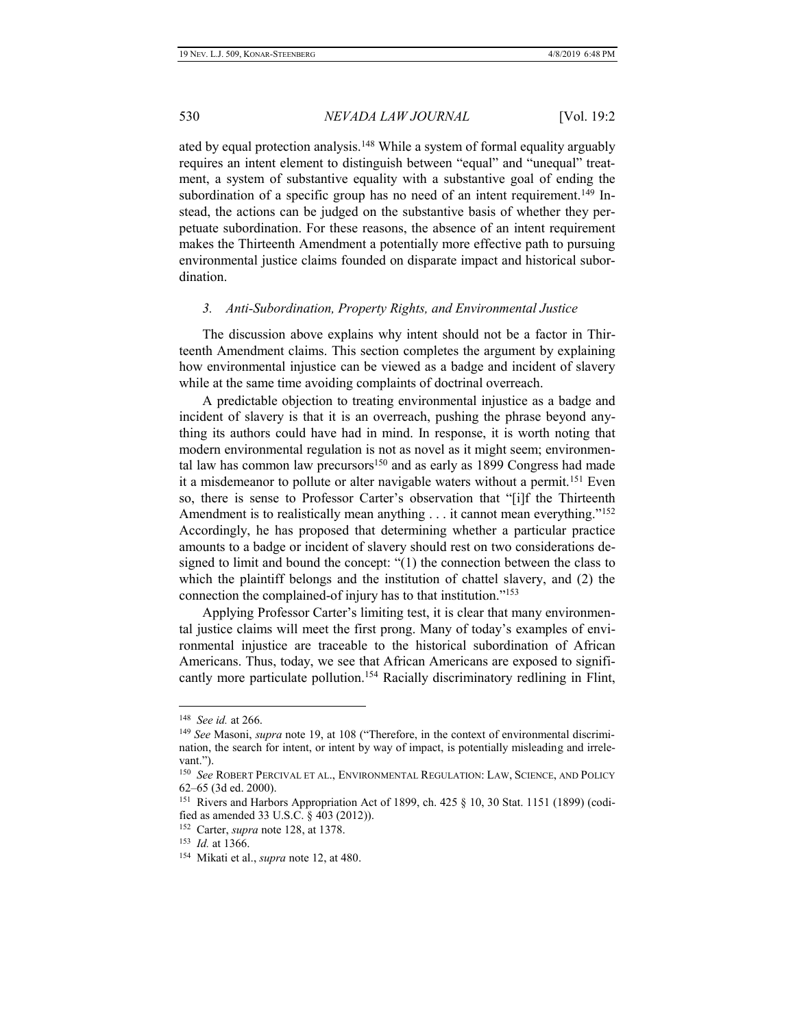ated by equal protection analysis.<sup>148</sup> While a system of formal equality arguably requires an intent element to distinguish between "equal" and "unequal" treatment, a system of substantive equality with a substantive goal of ending the subordination of a specific group has no need of an intent requirement.<sup>149</sup> Instead, the actions can be judged on the substantive basis of whether they perpetuate subordination. For these reasons, the absence of an intent requirement makes the Thirteenth Amendment a potentially more effective path to pursuing environmental justice claims founded on disparate impact and historical subordination.

#### *3. Anti-Subordination, Property Rights, and Environmental Justice*

The discussion above explains why intent should not be a factor in Thirteenth Amendment claims. This section completes the argument by explaining how environmental injustice can be viewed as a badge and incident of slavery while at the same time avoiding complaints of doctrinal overreach.

A predictable objection to treating environmental injustice as a badge and incident of slavery is that it is an overreach, pushing the phrase beyond anything its authors could have had in mind. In response, it is worth noting that modern environmental regulation is not as novel as it might seem; environmental law has common law precursors<sup>150</sup> and as early as 1899 Congress had made it a misdemeanor to pollute or alter navigable waters without a permit.<sup>151</sup> Even so, there is sense to Professor Carter's observation that "[i]f the Thirteenth Amendment is to realistically mean anything  $\dots$  it cannot mean everything."<sup>152</sup> Accordingly, he has proposed that determining whether a particular practice amounts to a badge or incident of slavery should rest on two considerations designed to limit and bound the concept: "(1) the connection between the class to which the plaintiff belongs and the institution of chattel slavery, and (2) the connection the complained-of injury has to that institution."<sup>153</sup>

Applying Professor Carter's limiting test, it is clear that many environmental justice claims will meet the first prong. Many of today's examples of environmental injustice are traceable to the historical subordination of African Americans. Thus, today, we see that African Americans are exposed to significantly more particulate pollution.<sup>154</sup> Racially discriminatory redlining in Flint,

<sup>148</sup> *See id.* at 266.

<sup>149</sup> *See* Masoni, *supra* note 19, at 108 ("Therefore, in the context of environmental discrimination, the search for intent, or intent by way of impact, is potentially misleading and irrelevant.").

<sup>150</sup> *See* ROBERT PERCIVAL ET AL., ENVIRONMENTAL REGULATION: LAW, SCIENCE, AND POLICY 62–65 (3d ed. 2000).

<sup>&</sup>lt;sup>151</sup> Rivers and Harbors Appropriation Act of 1899, ch. 425 § 10, 30 Stat. 1151 (1899) (codified as amended 33 U.S.C. § 403 (2012)).

<sup>152</sup> Carter, *supra* note 128, at 1378.

<sup>153</sup> *Id.* at 1366.

<sup>154</sup> Mikati et al., *supra* note 12, at 480.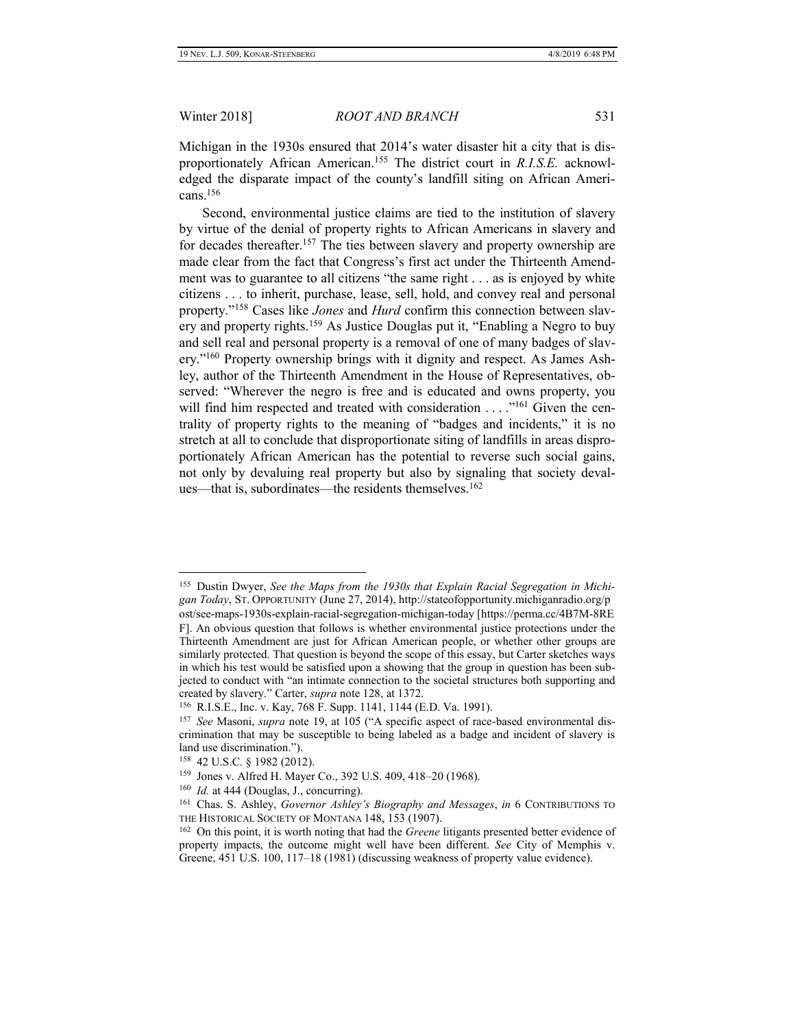Michigan in the 1930s ensured that 2014's water disaster hit a city that is disproportionately African American.<sup>155</sup> The district court in *R.I.S.E.* acknowledged the disparate impact of the county's landfill siting on African Americans.<sup>156</sup>

Second, environmental justice claims are tied to the institution of slavery by virtue of the denial of property rights to African Americans in slavery and for decades thereafter.<sup>157</sup> The ties between slavery and property ownership are made clear from the fact that Congress's first act under the Thirteenth Amendment was to guarantee to all citizens "the same right . . . as is enjoyed by white citizens . . . to inherit, purchase, lease, sell, hold, and convey real and personal property."<sup>158</sup> Cases like *Jones* and *Hurd* confirm this connection between slavery and property rights.<sup>159</sup> As Justice Douglas put it, "Enabling a Negro to buy and sell real and personal property is a removal of one of many badges of slavery."<sup>160</sup> Property ownership brings with it dignity and respect. As James Ashley, author of the Thirteenth Amendment in the House of Representatives, observed: "Wherever the negro is free and is educated and owns property, you will find him respected and treated with consideration . . . . "<sup>161</sup> Given the centrality of property rights to the meaning of "badges and incidents," it is no stretch at all to conclude that disproportionate siting of landfills in areas disproportionately African American has the potential to reverse such social gains, not only by devaluing real property but also by signaling that society devalues—that is, subordinates—the residents themselves.<sup>162</sup>

<sup>155</sup> Dustin Dwyer, *See the Maps from the 1930s that Explain Racial Segregation in Michigan Today*, ST. OPPORTUNITY (June 27, 2014), http://stateofopportunity.michiganradio.org/p ost/see-maps-1930s-explain-racial-segregation-michigan-today [https://perma.cc/4B7M-8RE F]. An obvious question that follows is whether environmental justice protections under the Thirteenth Amendment are just for African American people, or whether other groups are similarly protected. That question is beyond the scope of this essay, but Carter sketches ways in which his test would be satisfied upon a showing that the group in question has been subjected to conduct with "an intimate connection to the societal structures both supporting and created by slavery." Carter, *supra* note 128, at 1372.

<sup>156</sup> R.I.S.E., Inc. v. Kay, 768 F. Supp. 1141, 1144 (E.D. Va. 1991).

<sup>&</sup>lt;sup>157</sup> See Masoni, *supra* note 19, at 105 ("A specific aspect of race-based environmental discrimination that may be susceptible to being labeled as a badge and incident of slavery is land use discrimination.").

<sup>158</sup> 42 U.S.C. § 1982 (2012).

<sup>159</sup> Jones v. Alfred H. Mayer Co., 392 U.S. 409, 418–20 (1968).

<sup>&</sup>lt;sup>160</sup> *Id.* at 444 (Douglas, J., concurring).

<sup>161</sup> Chas. S. Ashley, *Governor Ashley's Biography and Messages*, *in* 6 CONTRIBUTIONS TO THE HISTORICAL SOCIETY OF MONTANA 148, 153 (1907).

<sup>162</sup> On this point, it is worth noting that had the *Greene* litigants presented better evidence of property impacts, the outcome might well have been different. *See* City of Memphis v. Greene, 451 U.S. 100, 117–18 (1981) (discussing weakness of property value evidence).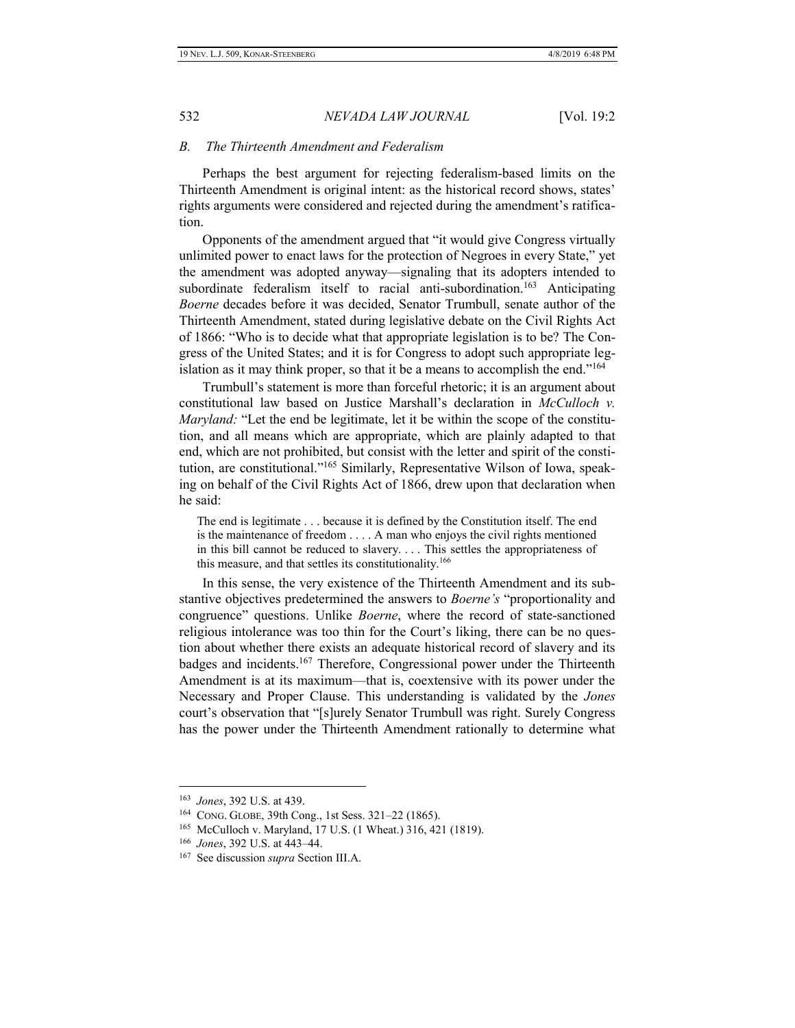#### *B. The Thirteenth Amendment and Federalism*

Perhaps the best argument for rejecting federalism-based limits on the Thirteenth Amendment is original intent: as the historical record shows, states' rights arguments were considered and rejected during the amendment's ratification.

Opponents of the amendment argued that "it would give Congress virtually unlimited power to enact laws for the protection of Negroes in every State," yet the amendment was adopted anyway—signaling that its adopters intended to subordinate federalism itself to racial anti-subordination.<sup>163</sup> Anticipating *Boerne* decades before it was decided, Senator Trumbull, senate author of the Thirteenth Amendment, stated during legislative debate on the Civil Rights Act of 1866: "Who is to decide what that appropriate legislation is to be? The Congress of the United States; and it is for Congress to adopt such appropriate legislation as it may think proper, so that it be a means to accomplish the end."<sup>164</sup>

Trumbull's statement is more than forceful rhetoric; it is an argument about constitutional law based on Justice Marshall's declaration in *McCulloch v. Maryland:* "Let the end be legitimate, let it be within the scope of the constitution, and all means which are appropriate, which are plainly adapted to that end, which are not prohibited, but consist with the letter and spirit of the constitution, are constitutional."<sup>165</sup> Similarly, Representative Wilson of Iowa, speaking on behalf of the Civil Rights Act of 1866, drew upon that declaration when he said:

The end is legitimate . . . because it is defined by the Constitution itself. The end is the maintenance of freedom . . . . A man who enjoys the civil rights mentioned in this bill cannot be reduced to slavery. . . . This settles the appropriateness of this measure, and that settles its constitutionality.<sup>166</sup>

In this sense, the very existence of the Thirteenth Amendment and its substantive objectives predetermined the answers to *Boerne's* "proportionality and congruence" questions. Unlike *Boerne*, where the record of state-sanctioned religious intolerance was too thin for the Court's liking, there can be no question about whether there exists an adequate historical record of slavery and its badges and incidents.<sup>167</sup> Therefore, Congressional power under the Thirteenth Amendment is at its maximum—that is, coextensive with its power under the Necessary and Proper Clause. This understanding is validated by the *Jones*  court's observation that "[s]urely Senator Trumbull was right. Surely Congress has the power under the Thirteenth Amendment rationally to determine what

<sup>163</sup> *Jones*, 392 U.S. at 439.

<sup>164</sup> CONG. GLOBE, 39th Cong., 1st Sess. 321–22 (1865).

<sup>165</sup> McCulloch v. Maryland, 17 U.S. (1 Wheat.) 316, 421 (1819).

<sup>166</sup> *Jones*, 392 U.S. at 443–44.

<sup>167</sup> See discussion *supra* Section III.A.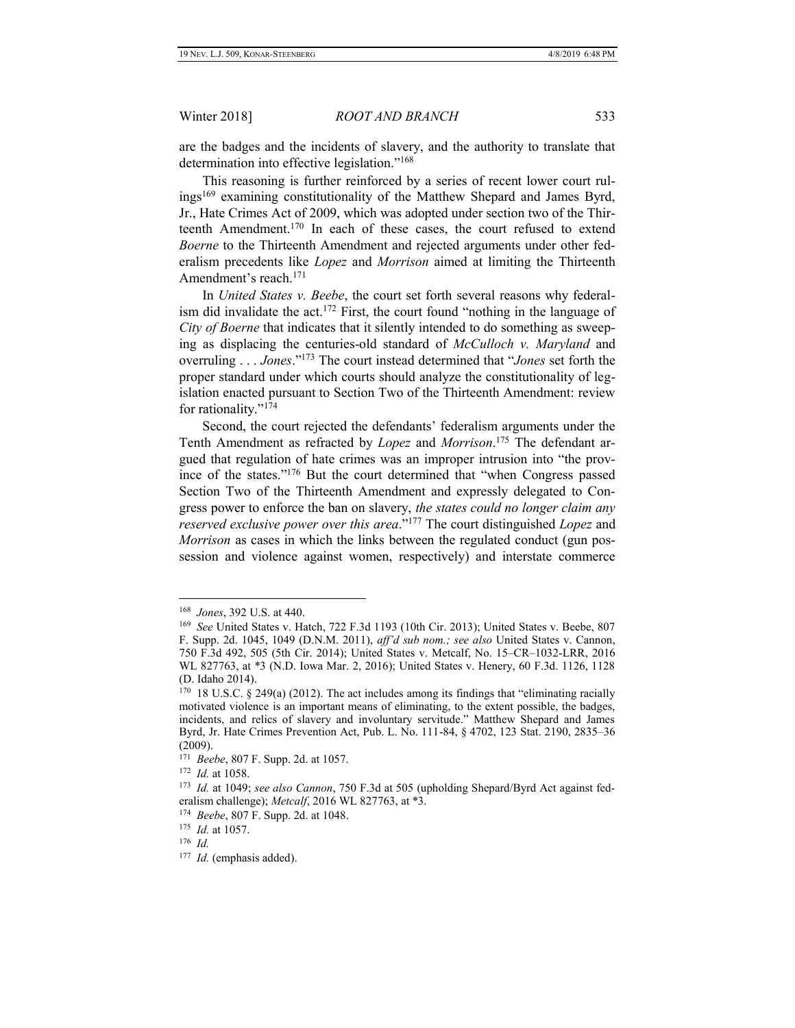are the badges and the incidents of slavery, and the authority to translate that determination into effective legislation."<sup>168</sup>

This reasoning is further reinforced by a series of recent lower court rulings<sup>169</sup> examining constitutionality of the Matthew Shepard and James Byrd, Jr., Hate Crimes Act of 2009, which was adopted under section two of the Thirteenth Amendment.<sup>170</sup> In each of these cases, the court refused to extend *Boerne* to the Thirteenth Amendment and rejected arguments under other federalism precedents like *Lopez* and *Morrison* aimed at limiting the Thirteenth Amendment's reach.<sup>171</sup>

In *United States v. Beebe*, the court set forth several reasons why federalism did invalidate the act.<sup>172</sup> First, the court found "nothing in the language of *City of Boerne* that indicates that it silently intended to do something as sweeping as displacing the centuries-old standard of *McCulloch v. Maryland* and overruling . . . *Jones*."<sup>173</sup> The court instead determined that "*Jones* set forth the proper standard under which courts should analyze the constitutionality of legislation enacted pursuant to Section Two of the Thirteenth Amendment: review for rationality."<sup>174</sup>

Second, the court rejected the defendants' federalism arguments under the Tenth Amendment as refracted by *Lopez* and *Morrison*. <sup>175</sup> The defendant argued that regulation of hate crimes was an improper intrusion into "the province of the states."<sup>176</sup> But the court determined that "when Congress passed Section Two of the Thirteenth Amendment and expressly delegated to Congress power to enforce the ban on slavery, *the states could no longer claim any reserved exclusive power over this area*." <sup>177</sup> The court distinguished *Lopez* and *Morrison* as cases in which the links between the regulated conduct (gun possession and violence against women, respectively) and interstate commerce

<sup>168</sup> *Jones*, 392 U.S. at 440.

<sup>169</sup> *See* United States v. Hatch, 722 F.3d 1193 (10th Cir. 2013); United States v. Beebe, 807 F. Supp. 2d. 1045, 1049 (D.N.M. 2011), *aff'd sub nom.; see also* United States v. Cannon, 750 F.3d 492, 505 (5th Cir. 2014); United States v. Metcalf, No. 15–CR–1032-LRR, 2016 WL 827763, at \*3 (N.D. Iowa Mar. 2, 2016); United States v. Henery, 60 F.3d. 1126, 1128 (D. Idaho 2014).

 $170$  18 U.S.C. § 249(a) (2012). The act includes among its findings that "eliminating racially motivated violence is an important means of eliminating, to the extent possible, the badges, incidents, and relics of slavery and involuntary servitude." Matthew Shepard and James Byrd, Jr. Hate Crimes Prevention Act, Pub. L. No. 111-84, § 4702, 123 Stat. 2190, 2835–36 (2009).

<sup>171</sup> *Beebe*, 807 F. Supp. 2d. at 1057.

<sup>172</sup> *Id.* at 1058.

<sup>173</sup> *Id.* at 1049; *see also Cannon*, 750 F.3d at 505 (upholding Shepard/Byrd Act against federalism challenge); *Metcalf*, 2016 WL 827763, at \*3.

<sup>174</sup> *Beebe*, 807 F. Supp. 2d. at 1048.

<sup>175</sup> *Id.* at 1057.

<sup>176</sup> *Id.*

<sup>177</sup> *Id.* (emphasis added).